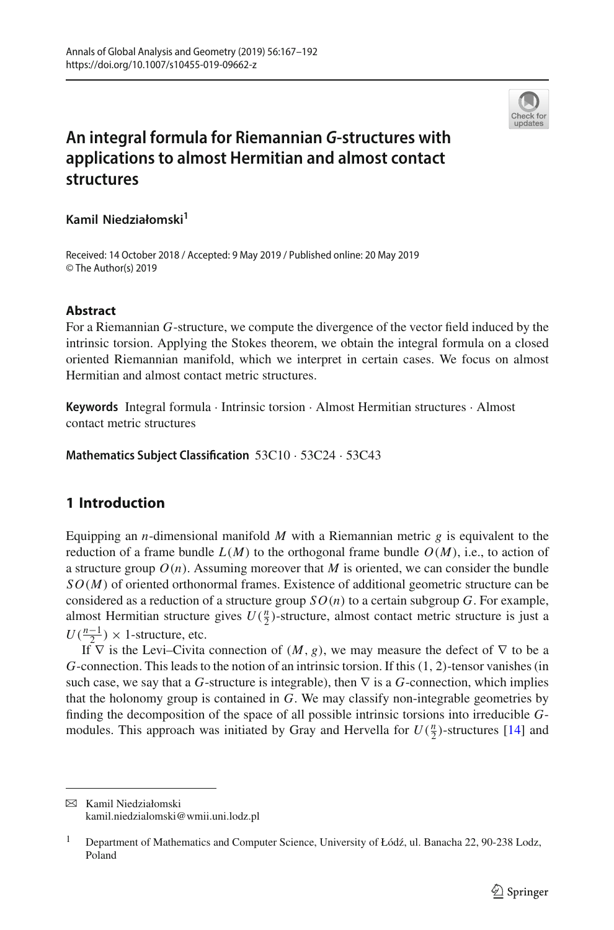

# **An integral formula for Riemannian** *G***-structures with applications to almost Hermitian and almost contact structures**

## **Kamil Niedziałomski1**

Received: 14 October 2018 / Accepted: 9 May 2019 / Published online: 20 May 2019 © The Author(s) 2019

#### **Abstract**

For a Riemannian *G*-structure, we compute the divergence of the vector field induced by the intrinsic torsion. Applying the Stokes theorem, we obtain the integral formula on a closed oriented Riemannian manifold, which we interpret in certain cases. We focus on almost Hermitian and almost contact metric structures.

**Keywords** Integral formula · Intrinsic torsion · Almost Hermitian structures · Almost contact metric structures

**Mathematics Subject Classification** 53C10 · 53C24 · 53C43

## **1 Introduction**

Equipping an *n*-dimensional manifold *M* with a Riemannian metric *g* is equivalent to the reduction of a frame bundle  $L(M)$  to the orthogonal frame bundle  $O(M)$ , i.e., to action of a structure group  $O(n)$ . Assuming moreover that *M* is oriented, we can consider the bundle *SO*(*M*) of oriented orthonormal frames. Existence of additional geometric structure can be considered as a reduction of a structure group  $SO(n)$  to a certain subgroup *G*. For example, almost Hermitian structure gives  $U(\frac{n}{2})$ -structure, almost contact metric structure is just a  $U(\frac{n-1}{2}) \times 1$ -structure, etc.

If  $\nabla$  is the Levi–Civita connection of  $(M, g)$ , we may measure the defect of  $\nabla$  to be a *G*-connection. This leads to the notion of an intrinsic torsion. If this(1, 2)-tensor vanishes (in such case, we say that a *G*-structure is integrable), then  $\nabla$  is a *G*-connection, which implies that the holonomy group is contained in *G*. We may classify non-integrable geometries by finding the decomposition of the space of all possible intrinsic torsions into irreducible *G*modules. This approach was initiated by Gray and Hervella for  $U(\frac{n}{2})$ -structures [\[14](#page-25-0)] and

 $\boxtimes$  Kamil Niedziałomski kamil.niedzialomski@wmii.uni.lodz.pl

Department of Mathematics and Computer Science, University of Łódź, ul. Banacha 22, 90-238 Lodz, Poland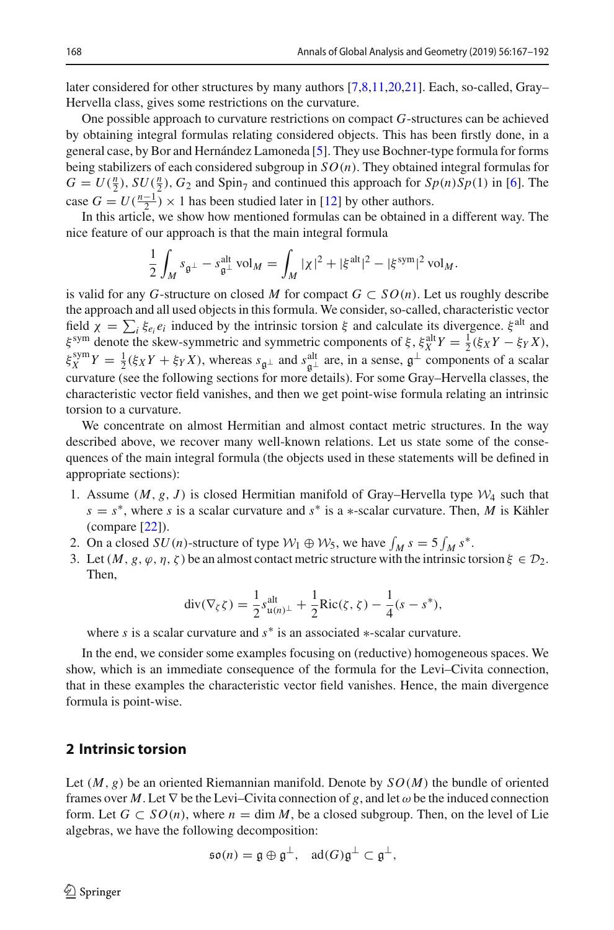later considered for other structures by many authors [\[7](#page-25-1)[,8](#page-25-2)[,11](#page-25-3)[,20](#page-25-4)[,21](#page-25-5)]. Each, so-called, Gray– Hervella class, gives some restrictions on the curvature.

One possible approach to curvature restrictions on compact *G*-structures can be achieved by obtaining integral formulas relating considered objects. This has been firstly done, in a general case, by Bor and Hernández Lamoneda [\[5](#page-25-6)]. They use Bochner-type formula for forms being stabilizers of each considered subgroup in *SO*(*n*). They obtained integral formulas for  $G = U(\frac{n}{2})$ ,  $SU(\frac{n}{2})$ ,  $G_2$  and Spin<sub>7</sub> and continued this approach for  $Sp(n)Sp(1)$  in [\[6](#page-25-7)]. The case  $G = U(\frac{n-1}{2}) \times 1$  has been studied later in [\[12\]](#page-25-8) by other authors.

In this article, we show how mentioned formulas can be obtained in a different way. The nice feature of our approach is that the main integral formula

$$
\frac{1}{2} \int_M s_{\mathfrak{g}^\perp} - s_{\mathfrak{g}^\perp}^{\text{alt}} \text{ vol}_M = \int_M |\chi|^2 + |\xi^{\text{alt}}|^2 - |\xi^{\text{sym}}|^2 \text{ vol}_M.
$$

is valid for any *G*-structure on closed *M* for compact  $G \subset SO(n)$ . Let us roughly describe the approach and all used objects in this formula. We consider, so-called, characteristic vector field  $\chi = \sum_i \xi_{e_i} e_i$  induced by the intrinsic torsion  $\xi$  and calculate its divergence.  $\xi^{\text{alt}}$  and  $\xi_{X}^{\text{sym}}$  denote the skew-symmetric and symmetric components of  $\xi$ ,  $\xi_{X}^{\text{alt}}Y = \frac{1}{2}(\xi_{X}Y - \xi_{Y}X)$ ,  $\xi_X^{\text{sym}} Y = \frac{1}{2} (\xi_X Y + \xi_Y X)$ , whereas  $s_{\mathfrak{g}^\perp}$  and  $s_{\mathfrak{g}^\perp}^{\text{alt}}$  are, in a sense,  $\mathfrak{g}^\perp$  components of a scalar curvature (see the following sections for more details). For some Gray–Hervella classe characteristic vector field vanishes, and then we get point-wise formula relating an intrinsic torsion to a curvature.

We concentrate on almost Hermitian and almost contact metric structures. In the way described above, we recover many well-known relations. Let us state some of the consequences of the main integral formula (the objects used in these statements will be defined in appropriate sections):

- 1. Assume  $(M, g, J)$  is closed Hermitian manifold of Gray–Hervella type  $W_4$  such that  $s = s^*$ , where *s* is a scalar curvature and  $s^*$  is a ∗-scalar curvature. Then, *M* is Kähler (compare [\[22\]](#page-25-9)).
- 2. On a closed  $SU(n)$ -structure of type  $W_1 \oplus W_5$ , we have  $\int_M s = 5 \int_M s^*$ .
- 3. Let  $(M, g, \varphi, \eta, \zeta)$  be an almost contact metric structure with the intrinsic torsion  $\xi \in \mathcal{D}_2$ . Then,

$$
\operatorname{div}(\nabla_{\zeta}\zeta) = \frac{1}{2} s_{\mathfrak{u}(n)^{\perp}}^{\text{alt}} + \frac{1}{2} \operatorname{Ric}(\zeta, \zeta) - \frac{1}{4}(s - s^*),
$$

where *s* is a scalar curvature and *s*<sup>∗</sup> is an associated ∗-scalar curvature.

In the end, we consider some examples focusing on (reductive) homogeneous spaces. We show, which is an immediate consequence of the formula for the Levi–Civita connection, that in these examples the characteristic vector field vanishes. Hence, the main divergence formula is point-wise.

## **2 Intrinsic torsion**

Let  $(M, g)$  be an oriented Riemannian manifold. Denote by  $SO(M)$  the bundle of oriented frames over *M*. Let  $\nabla$  be the Levi–Civita connection of *g*, and let  $\omega$  be the induced connection form. Let  $G \subset SO(n)$ , where  $n = \dim M$ , be a closed subgroup. Then, on the level of Lie algebras, we have the following decomposition:

$$
\mathfrak{so}(n)=\mathfrak{g}\oplus\mathfrak{g}^{\perp},\quad\text{ad}(G)\mathfrak{g}^{\perp}\subset\mathfrak{g}^{\perp},
$$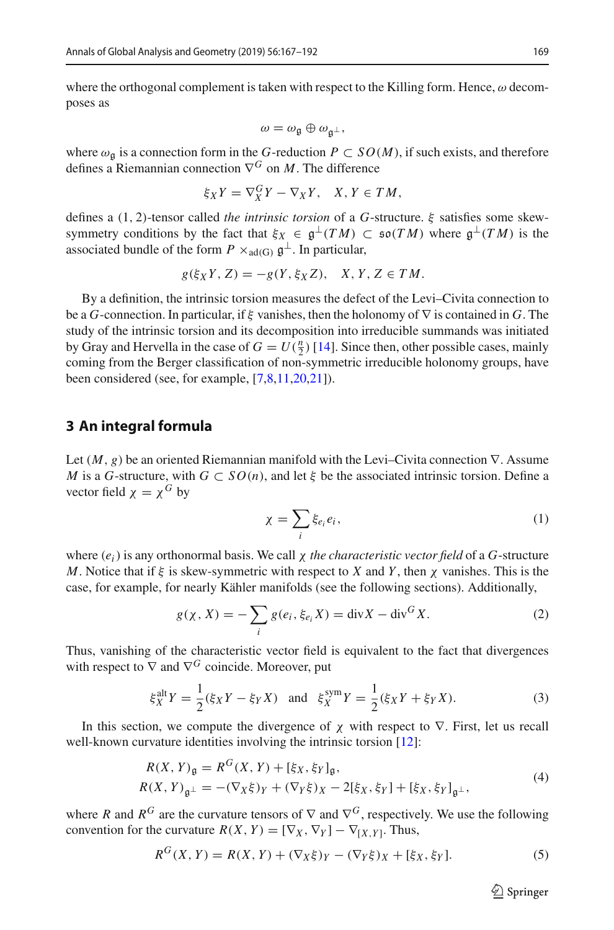where the orthogonal complement is taken with respect to the Killing form. Hence,  $\omega$  decomposes as

$$
\omega = \omega_{\mathfrak{g}} \oplus \omega_{\mathfrak{g}^\perp},
$$

where  $\omega_{\mathfrak{a}}$  is a connection form in the *G*-reduction  $P \subset SO(M)$ , if such exists, and therefore defines a Riemannian connection  $\nabla^G$  on *M*. The difference

$$
\xi_X Y = \nabla^G_X Y - \nabla_X Y, \quad X, Y \in TM,
$$

defines a (1, 2)-tensor called *the intrinsic torsion* of a *G*-structure. ξ satisfies some skewsymmetry conditions by the fact that  $\xi_X \in \mathfrak{g}^{\perp}(TM) \subset \mathfrak{so}(TM)$  where  $\mathfrak{g}^{\perp}(TM)$  is the associated bundle of the form  $P \times_{ad(G)} \mathfrak{g}^{\perp}$ . In particular,

$$
g(\xi_X Y, Z) = -g(Y, \xi_X Z), \quad X, Y, Z \in TM.
$$

By a definition, the intrinsic torsion measures the defect of the Levi–Civita connection to be a *G*-connection. In particular, if ξ vanishes, then the holonomy of ∇ is contained in *G*. The study of the intrinsic torsion and its decomposition into irreducible summands was initiated by Gray and Hervella in the case of  $G = U(\frac{n}{2})$  [\[14\]](#page-25-0). Since then, other possible cases, mainly coming from the Berger classification of non-symmetric irreducible holonomy groups, have been considered (see, for example, [\[7](#page-25-1)[,8](#page-25-2)[,11](#page-25-3)[,20](#page-25-4)[,21](#page-25-5)]).

#### **3 An integral formula**

Let (*M*, *g*) be an oriented Riemannian manifold with the Levi–Civita connection ∇. Assume *M* is a *G*-structure, with  $G \subset SO(n)$ , and let  $\xi$  be the associated intrinsic torsion. Define a vector field  $\chi = \chi^G$  by

$$
\chi = \sum_{i} \xi_{e_i} e_i,\tag{1}
$$

where (*ei*) is any orthonormal basis. We call χ *the characteristic vector field* of a *G*-structure *M*. Notice that if ξ is skew-symmetric with respect to *X* and *Y* , then χ vanishes. This is the case, for example, for nearly Kähler manifolds (see the following sections). Additionally,

<span id="page-2-2"></span>
$$
g(\chi, X) = -\sum_{i} g(e_i, \xi_{e_i} X) = \text{div} X - \text{div}^G X.
$$
 (2)

Thus, vanishing of the characteristic vector field is equivalent to the fact that divergences with respect to  $\nabla$  and  $\nabla$ <sup>*G*</sup> coincide. Moreover, put

$$
\xi_X^{\text{alt}} Y = \frac{1}{2} (\xi_X Y - \xi_Y X) \quad \text{and} \quad \xi_X^{\text{sym}} Y = \frac{1}{2} (\xi_X Y + \xi_Y X). \tag{3}
$$

In this section, we compute the divergence of  $\chi$  with respect to  $\nabla$ . First, let us recall well-known curvature identities involving the intrinsic torsion [\[12](#page-25-8)]:

<span id="page-2-1"></span>
$$
R(X, Y)_{\mathfrak{g}} = R^{G}(X, Y) + [\xi_X, \xi_Y]_{\mathfrak{g}},
$$
  
\n
$$
R(X, Y)_{\mathfrak{g}^{\perp}} = -(\nabla_X \xi)_Y + (\nabla_Y \xi)_X - 2[\xi_X, \xi_Y] + [\xi_X, \xi_Y]_{\mathfrak{g}^{\perp}},
$$
\n(4)

where *R* and  $R^G$  are the curvature tensors of  $\nabla$  and  $\nabla^G$ , respectively. We use the following convention for the curvature  $R(X, Y) = [\nabla_X, \nabla_Y] - \nabla_{[X, Y]}$ . Thus,

<span id="page-2-0"></span>
$$
R^{G}(X, Y) = R(X, Y) + (\nabla_X \xi)_{Y} - (\nabla_Y \xi)_{X} + [\xi_X, \xi_Y].
$$
 (5)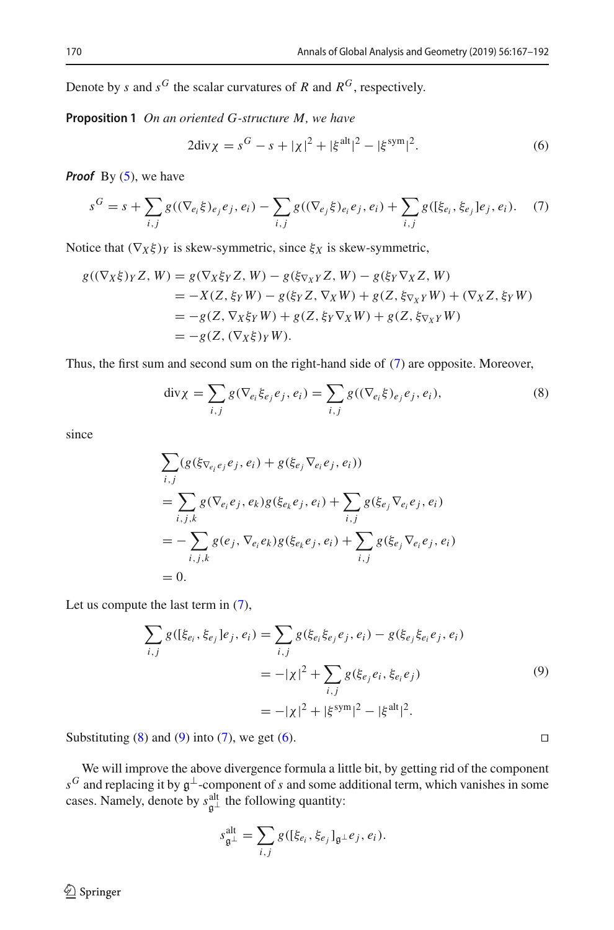Denote by *s* and  $s^G$  the scalar curvatures of *R* and  $R^G$ , respectively.

**Proposition 1** *On an oriented G-structure M, we have*

<span id="page-3-3"></span>
$$
2\text{div}\chi = s^G - s + |\chi|^2 + |\xi^{\text{alt}}|^2 - |\xi^{\text{sym}}|^2. \tag{6}
$$

*Proof* By [\(5\)](#page-2-0), we have

<span id="page-3-0"></span>
$$
s^{G} = s + \sum_{i,j} g((\nabla_{e_{i}}\xi)_{e_{j}}e_{j}, e_{i}) - \sum_{i,j} g((\nabla_{e_{j}}\xi)_{e_{i}}e_{j}, e_{i}) + \sum_{i,j} g([\xi_{e_{i}}, \xi_{e_{j}}]e_{j}, e_{i}).
$$
 (7)

Notice that  $(\nabla_X \xi)_Y$  is skew-symmetric, since  $\xi_X$  is skew-symmetric,

$$
g((\nabla_X \xi)_Y Z, W) = g(\nabla_X \xi_Y Z, W) - g(\xi_{\nabla_X Y} Z, W) - g(\xi_Y \nabla_X Z, W)
$$
  
= -X(Z, \xi\_Y W) - g(\xi\_Y Z, \nabla\_X W) + g(Z, \xi\_{\nabla\_X Y} W) + (\nabla\_X Z, \xi\_Y W)  
= -g(Z, \nabla\_X \xi\_Y W) + g(Z, \xi\_Y \nabla\_X W) + g(Z, \xi\_{\nabla\_X Y} W)  
= -g(Z, (\nabla\_X \xi)\_Y W).

Thus, the first sum and second sum on the right-hand side of [\(7\)](#page-3-0) are opposite. Moreover,

<span id="page-3-1"></span>
$$
\text{div}\chi = \sum_{i,j} g(\nabla_{e_i} \xi_{e_j} e_j, e_i) = \sum_{i,j} g((\nabla_{e_i} \xi)_{e_j} e_j, e_i),
$$
\n(8)

since

$$
\sum_{i,j} (g(\xi_{\nabla_{e_i}e_j}e_j, e_i) + g(\xi_{e_j}\nabla_{e_i}e_j, e_i))
$$
\n
$$
= \sum_{i,j,k} g(\nabla_{e_i}e_j, e_k)g(\xi_{e_k}e_j, e_i) + \sum_{i,j} g(\xi_{e_j}\nabla_{e_i}e_j, e_i)
$$
\n
$$
= -\sum_{i,j,k} g(e_j, \nabla_{e_i}e_k)g(\xi_{e_k}e_j, e_i) + \sum_{i,j} g(\xi_{e_j}\nabla_{e_i}e_j, e_i)
$$
\n
$$
= 0.
$$

Let us compute the last term in [\(7\)](#page-3-0),

<span id="page-3-2"></span>
$$
\sum_{i,j} g([\xi_{e_i}, \xi_{e_j}]e_j, e_i) = \sum_{i,j} g(\xi_{e_i}\xi_{e_j}e_j, e_i) - g(\xi_{e_j}\xi_{e_i}e_j, e_i)
$$
  
= 
$$
-|\chi|^2 + \sum_{i,j} g(\xi_{e_j}e_i, \xi_{e_i}e_j)
$$
  
= 
$$
-|\chi|^2 + |\xi^{\text{sym}}|^2 - |\xi^{\text{alt}}|^2.
$$
 (9)

Substituting  $(8)$  and  $(9)$  into  $(7)$ , we get  $(6)$ .

We will improve the above divergence formula a little bit, by getting rid of the component  $s^G$  and replacing it by  $\mathfrak{g}^{\perp}$ -component of *s* and some additional term, which vanishes in some cases. Namely, denote by  $s^{\text{alt}}_{\mathfrak{g}^{\perp}}$  the following quantity:

$$
s_{\mathfrak{g}^\perp}^{\text{alt}} = \sum_{i,j} g([\xi_{e_i}, \xi_{e_j}]_{\mathfrak{g}^\perp} e_j, e_i).
$$

$$
\Box
$$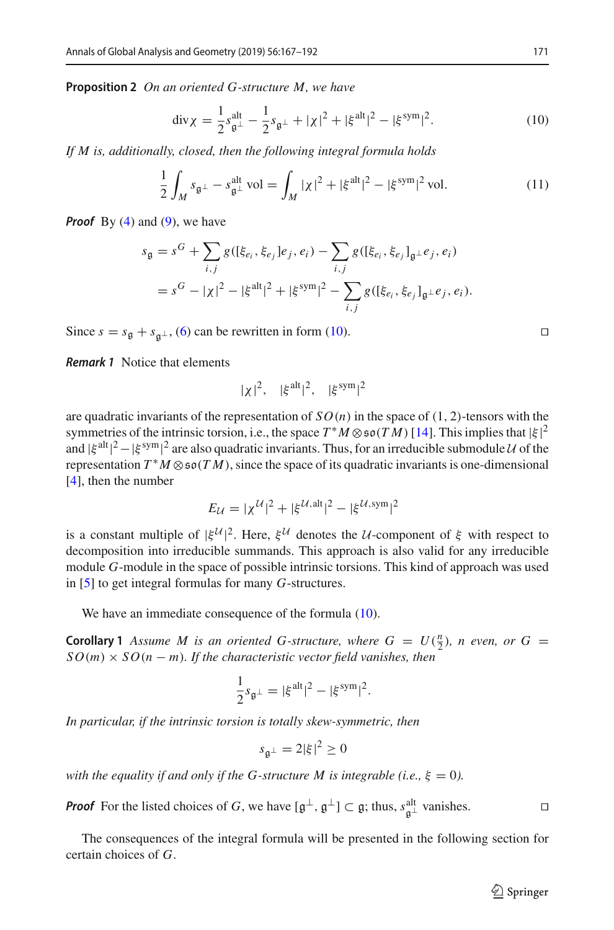**Proposition 2** *On an oriented G-structure M, we have*

<span id="page-4-0"></span>
$$
\operatorname{div}\chi = \frac{1}{2} s_{\mathfrak{g}^{\perp}}^{\text{alt}} - \frac{1}{2} s_{\mathfrak{g}^{\perp}} + |\chi|^2 + |\xi^{\text{alt}}|^2 - |\xi^{\text{sym}}|^2. \tag{10}
$$

*If M is, additionally, closed, then the following integral formula holds*

<span id="page-4-1"></span>
$$
\frac{1}{2} \int_{M} s_{\mathfrak{g}^{\perp}} - s_{\mathfrak{g}^{\perp}}^{\mathrm{alt}} \text{vol} = \int_{M} |\chi|^{2} + |\xi^{\mathrm{alt}}|^{2} - |\xi^{\mathrm{sym}}|^{2} \text{ vol.}
$$
\n(11)

*Proof* By [\(4\)](#page-2-1) and [\(9\)](#page-3-2), we have

$$
s_{\mathfrak{g}} = s^G + \sum_{i,j} g([\xi_{e_i}, \xi_{e_j}]e_j, e_i) - \sum_{i,j} g([\xi_{e_i}, \xi_{e_j}]_{\mathfrak{g}^{\perp}}e_j, e_i)
$$
  
=  $s^G - |\chi|^2 - |\xi^{\text{alt}}|^2 + |\xi^{\text{sym}}|^2 - \sum_{i,j} g([\xi_{e_i}, \xi_{e_j}]_{\mathfrak{g}^{\perp}}e_j, e_i).$ 

Since  $s = s_{\mathfrak{g}} + s_{\mathfrak{g}^\perp}$ , [\(6\)](#page-3-3) can be rewritten in form [\(10\)](#page-4-0).

<span id="page-4-2"></span>*Remark 1* Notice that elements

$$
|\chi|^2
$$
,  $|\xi^{alt}|^2$ ,  $|\xi^{sym}|^2$ 

are quadratic invariants of the representation of  $SO(n)$  in the space of  $(1, 2)$ -tensors with the symmetries of the intrinsic torsion, i.e., the space  $T^*M \otimes \mathfrak{so}(TM)$  [\[14\]](#page-25-0). This implies that  $|\xi|^2$ <br>and  $|\xi|^{2} = |\xi|^{sym}|^2$  are also quadratic invariants. Thus, for an irreducible submodule *U* of the and  $|\xi^{\text{alt}}|^2 - |\xi^{\text{sym}}|^2$  are also quadratic invariants. Thus, for an irreducible submodule *U* of the representation  $T^*M \otimes \mathfrak{so}(TM)$ , since the space of its quadratic invariants is one-dimensional [\[4](#page-25-10)], then the number

$$
E_{\mathcal{U}} = |\chi^{\mathcal{U}}|^2 + |\xi^{\mathcal{U},\text{alt}}|^2 - |\xi^{\mathcal{U},\text{sym}}|^2
$$

is a constant multiple of  $|\xi^{\mathcal{U}}|^2$ . Here,  $\xi^{\mathcal{U}}$  denotes the *U*-component of  $\xi$  with respect to decomposition into irreducible summands. This approach is also valid for any irreducible module *G*-module in the space of possible intrinsic torsions. This kind of approach was used in [\[5\]](#page-25-6) to get integral formulas for many *G*-structures.

We have an immediate consequence of the formula [\(10\)](#page-4-0).

**Corollary 1** *Assume M is an oriented G-structure, where*  $G = U(\frac{n}{2})$ *, <i>n even, or*  $G =$  $SO(m) \times SO(n-m)$ . If the characteristic vector field vanishes, then

$$
\frac{1}{2}s_{\mathfrak{g}^{\perp}} = |\xi^{\text{alt}}|^2 - |\xi^{\text{sym}}|^2.
$$

*In particular, if the intrinsic torsion is totally skew-symmetric, then*

$$
s_{\mathfrak{g}^\perp} = 2|\xi|^2 \ge 0
$$

*with the equality if and only if the G-structure M is integrable (i.e.,*  $\xi = 0$ ).

*Proof* For the listed choices of *G*, we have  $[g^{\perp}, g^{\perp}] \subset g$ ; thus,  $s^{\text{alt}}_{g^{\perp}}$  vanishes.  $\Box$ 

The consequences of the integral formula will be presented in the following section for certain choices of *G*.

$$
\qquad \qquad \Box
$$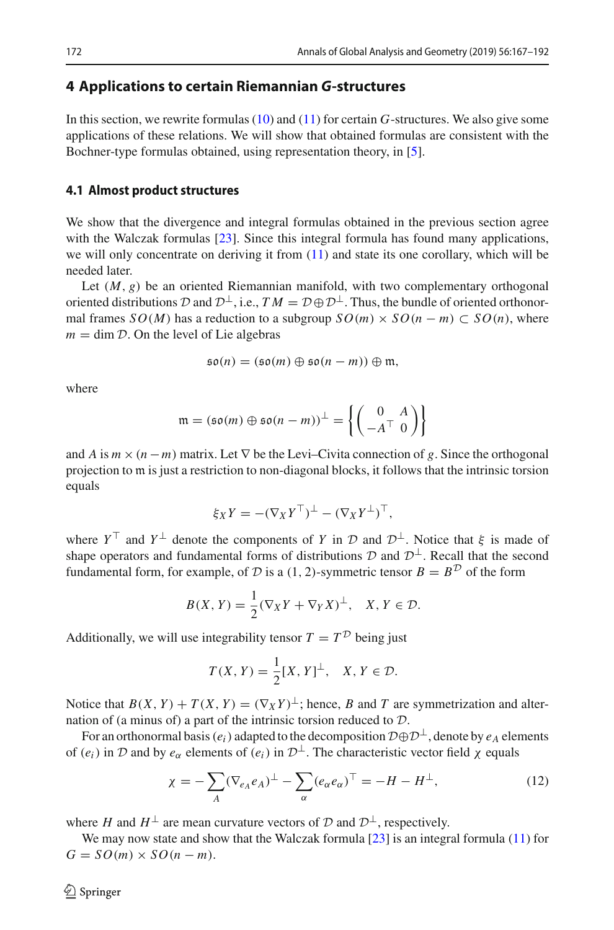## **4 Applications to certain Riemannian** *G***-structures**

In this section, we rewrite formulas [\(10\)](#page-4-0) and [\(11\)](#page-4-1) for certain *G*-structures. We also give some applications of these relations. We will show that obtained formulas are consistent with the Bochner-type formulas obtained, using representation theory, in [\[5\]](#page-25-6).

#### **4.1 Almost product structures**

We show that the divergence and integral formulas obtained in the previous section agree with the Walczak formulas [\[23](#page-25-11)]. Since this integral formula has found many applications, we will only concentrate on deriving it from  $(11)$  and state its one corollary, which will be needed later.

Let  $(M, g)$  be an oriented Riemannian manifold, with two complementary orthogonal oriented distributions  $D$  and  $D^{\perp}$ , i.e.,  $TM = D \oplus D^{\perp}$ . Thus, the bundle of oriented orthonormal frames *SO*(*M*) has a reduction to a subgroup  $SO(m) \times SO(n-m) \subset SO(n)$ , where  $m = \dim \mathcal{D}$ . On the level of Lie algebras

$$
\mathfrak{so}(n)=(\mathfrak{so}(m)\oplus\mathfrak{so}(n-m))\oplus\mathfrak{m},
$$

where

$$
\mathfrak{m} = (\mathfrak{so}(m) \oplus \mathfrak{so}(n-m))^\perp = \left\{ \begin{pmatrix} 0 & A \\ -A^\top & 0 \end{pmatrix} \right\}
$$

and *A* is  $m \times (n - m)$  matrix. Let  $\nabla$  be the Levi–Civita connection of *g*. Since the orthogonal projection to m is just a restriction to non-diagonal blocks, it follows that the intrinsic torsion equals

$$
\xi_X Y = -(\nabla_X Y^\top)^\perp - (\nabla_X Y^\perp)^\top,
$$

where  $Y^{\top}$  and  $Y^{\perp}$  denote the components of *Y* in *D* and  $D^{\perp}$ . Notice that  $\xi$  is made of shape operators and fundamental forms of distributions  $D$  and  $D^{\perp}$ . Recall that the second fundamental form, for example, of *D* is a (1, 2)-symmetric tensor  $B = B^D$  of the form

$$
B(X, Y) = \frac{1}{2}(\nabla_X Y + \nabla_Y X)^{\perp}, \quad X, Y \in \mathcal{D}.
$$

Additionally, we will use integrability tensor  $T = T^D$  being just

$$
T(X, Y) = \frac{1}{2}[X, Y]^{\perp}, \quad X, Y \in \mathcal{D}.
$$

Notice that  $B(X, Y) + T(X, Y) = (\nabla_X Y)^{\perp}$ ; hence, *B* and *T* are symmetrization and alternation of (a minus of) a part of the intrinsic torsion reduced to *D*.

For an orthonormal basis ( $e_i$ ) adapted to the decomposition  $\mathcal{D} \oplus \mathcal{D}^{\perp}$ , denote by  $e_A$  elements of  $(e_i)$  in *D* and by  $e_\alpha$  elements of  $(e_i)$  in  $\mathcal{D}^\perp$ . The characteristic vector field  $\chi$  equals

$$
\chi = -\sum_{A} (\nabla_{e_A} e_A)^{\perp} - \sum_{\alpha} (e_{\alpha} e_{\alpha})^{\top} = -H - H^{\perp},\tag{12}
$$

where *H* and  $H^{\perp}$  are mean curvature vectors of  $D$  and  $D^{\perp}$ , respectively.

We may now state and show that the Walczak formula  $[23]$  $[23]$  is an integral formula  $(11)$  for  $G = SO(m) \times SO(n-m).$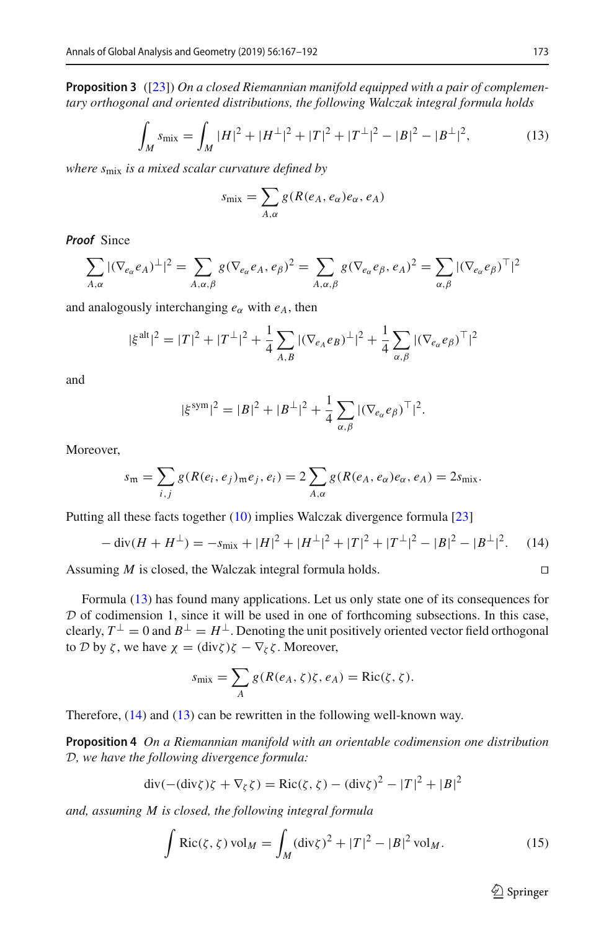**Proposition 3** ([\[23\]](#page-25-11)) *On a closed Riemannian manifold equipped with a pair of complementary orthogonal and oriented distributions, the following Walczak integral formula holds*

<span id="page-6-0"></span>
$$
\int_{M} s_{\text{mix}} = \int_{M} |H|^{2} + |H^{\perp}|^{2} + |T|^{2} + |T^{\perp}|^{2} - |B|^{2} - |B^{\perp}|^{2},\tag{13}
$$

*where s*mix *is a mixed scalar curvature defined by*

$$
s_{\text{mix}} = \sum_{A,\alpha} g(R(e_A, e_\alpha)e_\alpha, e_A)
$$

*Proof* Since

$$
\sum_{A,\alpha} |(\nabla_{e_{\alpha}} e_A)^{\perp}|^2 = \sum_{A,\alpha,\beta} g(\nabla_{e_{\alpha}} e_A, e_{\beta})^2 = \sum_{A,\alpha,\beta} g(\nabla_{e_{\alpha}} e_{\beta}, e_A)^2 = \sum_{\alpha,\beta} |(\nabla_{e_{\alpha}} e_{\beta})^{\top}|^2
$$

and analogously interchanging  $e_\alpha$  with  $e_A$ , then

$$
|\xi^{\text{alt}}|^2 = |T|^2 + |T^{\perp}|^2 + \frac{1}{4} \sum_{A,B} |(\nabla_{e_A} e_B)^{\perp}|^2 + \frac{1}{4} \sum_{\alpha,\beta} |(\nabla_{e_\alpha} e_\beta)^\top|^2
$$

and

$$
|\xi^{\text{sym}}|^2 = |B|^2 + |B^{\perp}|^2 + \frac{1}{4} \sum_{\alpha,\beta} |(\nabla_{e_{\alpha}} e_{\beta})^{\top}|^2.
$$

Moreover,

$$
s_{\mathfrak{m}} = \sum_{i,j} g(R(e_i, e_j)_{\mathfrak{m}} e_j, e_i) = 2 \sum_{A,\alpha} g(R(e_A, e_\alpha) e_\alpha, e_A) = 2s_{\text{mix}}.
$$

Putting all these facts together [\(10\)](#page-4-0) implies Walczak divergence formula [\[23\]](#page-25-11)

<span id="page-6-1"></span>
$$
-\operatorname{div}(H + H^{\perp}) = -s_{\text{mix}} + |H|^{2} + |H^{\perp}|^{2} + |T|^{2} + |T^{\perp}|^{2} - |B|^{2} - |B^{\perp}|^{2}.
$$
 (14)

Assuming *M* is closed, the Walczak integral formula holds. 

Formula [\(13\)](#page-6-0) has found many applications. Let us only state one of its consequences for *D* of codimension 1, since it will be used in one of forthcoming subsections. In this case, clearly,  $T^{\perp} = 0$  and  $B^{\perp} = H^{\perp}$ . Denoting the unit positively oriented vector field orthogonal to *D* by *ζ*, we have  $\chi = (\text{div} \zeta) \zeta - \nabla_{\zeta} \zeta$ . Moreover,

<span id="page-6-2"></span>
$$
s_{\text{mix}} = \sum_{A} g(R(e_A, \zeta)\zeta, e_A) = \text{Ric}(\zeta, \zeta).
$$

Therefore, [\(14\)](#page-6-1) and [\(13\)](#page-6-0) can be rewritten in the following well-known way.

**Proposition 4** *On a Riemannian manifold with an orientable codimension one distribution D, we have the following divergence formula:*

$$
\operatorname{div}(-(\operatorname{div}\zeta)\zeta + \nabla_{\zeta}\zeta) = \operatorname{Ric}(\zeta, \zeta) - (\operatorname{div}\zeta)^{2} - |T|^{2} + |B|^{2}
$$

*and, assuming M is closed, the following integral formula*

$$
\int \text{Ric}(\zeta, \zeta) \, \text{vol}_M = \int_M (\text{div}\zeta)^2 + |T|^2 - |B|^2 \, \text{vol}_M. \tag{15}
$$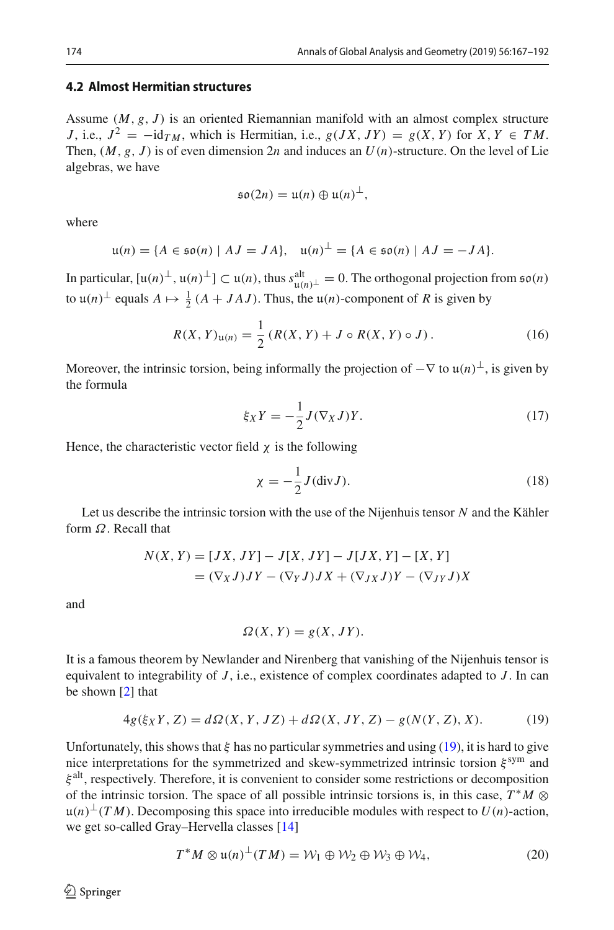#### **4.2 Almost Hermitian structures**

Assume (*M*, *g*, *J* ) is an oriented Riemannian manifold with an almost complex structure *J*, i.e.,  $J^2 = -id_{TM}$ , which is Hermitian, i.e.,  $g(JX, JY) = g(X, Y)$  for  $X, Y \in TM$ . Then,  $(M, g, J)$  is of even dimension 2*n* and induces an  $U(n)$ -structure. On the level of Lie algebras, we have

$$
\mathfrak{so}(2n)=\mathfrak{u}(n)\oplus\mathfrak{u}(n)^{\perp},
$$

where

$$
\mathfrak{u}(n) = \{ A \in \mathfrak{so}(n) \mid AJ = JA \}, \quad \mathfrak{u}(n)^{\perp} = \{ A \in \mathfrak{so}(n) \mid AJ = -JA \}.
$$

In particular,  $[u(n)^{\perp}, u(n)^{\perp}] \subset u(n)$ , thus  $s_{u(n)^{\perp}}^{\text{alt}} = 0$ . The orthogonal projection from  $\mathfrak{so}(n)$ <br>to  $u(n)$ <sup>1</sup> could  $A \cup A$   $A \cup B$ . Thus the  $u(n)$  component of *B* is given by to  $u(n)^{\perp}$  equals  $A \mapsto \frac{1}{2}(A + JAJ)$ . Thus, the  $u(n)$ -component of *R* is given by

<span id="page-7-1"></span>
$$
R(X, Y)_{u(n)} = \frac{1}{2} (R(X, Y) + J \circ R(X, Y) \circ J).
$$
 (16)

Moreover, the intrinsic torsion, being informally the projection of  $-\nabla$  to  $\mu(n)^{\perp}$ , is given by the formula

$$
\xi_X Y = -\frac{1}{2} J(\nabla_X J) Y. \tag{17}
$$

Hence, the characteristic vector field  $\chi$  is the following

$$
\chi = -\frac{1}{2}J(\text{div}J). \tag{18}
$$

Let us describe the intrinsic torsion with the use of the Nijenhuis tensor *N* and the Kähler form  $\Omega$ . Recall that

$$
N(X, Y) = [JX, JY] - J[X, JY] - J[JX, Y] - [X, Y]
$$
  
=  $(\nabla_X J)JY - (\nabla_Y J)JX + (\nabla_{JX} J)Y - (\nabla_{JY} J)X$ 

and

$$
\Omega(X, Y) = g(X, JY).
$$

It is a famous theorem by Newlander and Nirenberg that vanishing of the Nijenhuis tensor is equivalent to integrability of *J* , i.e., existence of complex coordinates adapted to *J* . In can be shown [\[2](#page-24-0)] that

<span id="page-7-0"></span>
$$
4g(\xi_X Y, Z) = d\Omega(X, Y, JZ) + d\Omega(X, JY, Z) - g(N(Y, Z), X).
$$
 (19)

Unfortunately, this shows that  $\xi$  has no particular symmetries and using [\(19\)](#page-7-0), it is hard to give nice interpretations for the symmetrized and skew-symmetrized intrinsic torsion  $\xi^{\text{sym}}$  and  $\xi^{\text{alt}}$ , respectively. Therefore, it is convenient to consider some restrictions or decomposition of the intrinsic torsion. The space of all possible intrinsic torsions is, in this case,  $T^*M \otimes$  $u(n)$ <sup>⊥</sup>(*TM*). Decomposing this space into irreducible modules with respect to *U*(*n*)-action, we get so-called Gray–Hervella classes [\[14\]](#page-25-0)

$$
T^*M \otimes \mathfrak{u}(n)^\perp (TM) = \mathcal{W}_1 \oplus \mathcal{W}_2 \oplus \mathcal{W}_3 \oplus \mathcal{W}_4,\tag{20}
$$

 $\circledcirc$  Springer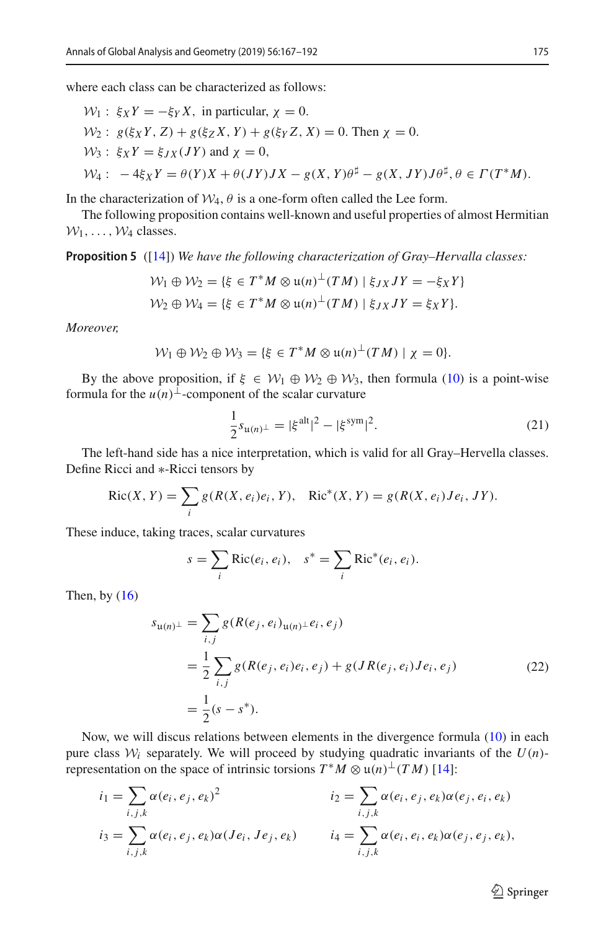where each class can be characterized as follows:

$$
\mathcal{W}_1: \xi_X Y = -\xi_Y X, \text{ in particular, } \chi = 0.
$$
  
\n
$$
\mathcal{W}_2: g(\xi_X Y, Z) + g(\xi_Z X, Y) + g(\xi_Y Z, X) = 0. \text{ Then } \chi = 0.
$$
  
\n
$$
\mathcal{W}_3: \xi_X Y = \xi_{JX}(JY) \text{ and } \chi = 0,
$$
  
\n
$$
\mathcal{W}_4: -4\xi_X Y = \theta(Y)X + \theta(JY)JX - g(X, Y)\theta^{\sharp} - g(X, JY)J\theta^{\sharp}, \theta \in \Gamma(T^*M).
$$

In the characterization of  $W_4$ ,  $\theta$  is a one-form often called the Lee form.

<span id="page-8-1"></span>The following proposition contains well-known and useful properties of almost Hermitian  $W_1, \ldots, W_4$  classes.

**Proposition 5** ([\[14\]](#page-25-0)) *We have the following characterization of Gray–Hervalla classes:*

$$
\mathcal{W}_1 \oplus \mathcal{W}_2 = \{ \xi \in T^*M \otimes \mathfrak{u}(n)^\perp (TM) \mid \xi_{JX} JY = -\xi_X Y \}
$$
  

$$
\mathcal{W}_2 \oplus \mathcal{W}_4 = \{ \xi \in T^*M \otimes \mathfrak{u}(n)^\perp (TM) \mid \xi_{JX} JY = \xi_X Y \}.
$$

*Moreover,*

$$
\mathcal{W}_1 \oplus \mathcal{W}_2 \oplus \mathcal{W}_3 = \{ \xi \in T^*M \otimes \mathfrak{u}(n)^\perp (TM) \mid \chi = 0 \}.
$$

By the above proposition, if  $\xi \in W_1 \oplus W_2 \oplus W_3$ , then formula [\(10\)](#page-4-0) is a point-wise formula for the  $u(n)$ <sup>⊥</sup>-component of the scalar curvature

<span id="page-8-2"></span>
$$
\frac{1}{2}s_{\mathfrak{u}(n)^{\perp}} = |\xi^{\text{alt}}|^{2} - |\xi^{\text{sym}}|^{2}.
$$
 (21)

The left-hand side has a nice interpretation, which is valid for all Gray–Hervella classes. Define Ricci and ∗-Ricci tensors by

$$
Ric(X, Y) = \sum_{i} g(R(X, e_i)e_i, Y), \quad Ric^*(X, Y) = g(R(X, e_i)Je_i, JY).
$$

These induce, taking traces, scalar curvatures

$$
s = \sum_i \text{Ric}(e_i, e_i), \quad s^* = \sum_i \text{Ric}^*(e_i, e_i).
$$

Then, by  $(16)$ 

<span id="page-8-0"></span>
$$
s_{\mathfrak{u}(n)^{\perp}} = \sum_{i,j} g(R(e_j, e_i)_{\mathfrak{u}(n)^{\perp}} e_i, e_j)
$$
  
= 
$$
\frac{1}{2} \sum_{i,j} g(R(e_j, e_i) e_i, e_j) + g(JR(e_j, e_i) J e_i, e_j)
$$
  
= 
$$
\frac{1}{2} (s - s^*).
$$
 (22)

Now, we will discus relations between elements in the divergence formula [\(10\)](#page-4-0) in each pure class  $W_i$  separately. We will proceed by studying quadratic invariants of the  $U(n)$ representation on the space of intrinsic torsions  $T^*M \otimes \mathfrak{u}(n) \perp (TM)$  [\[14](#page-25-0)]:

$$
i_1 = \sum_{i,j,k} \alpha(e_i, e_j, e_k)^2
$$
  
\n
$$
i_2 = \sum_{i,j,k} \alpha(e_i, e_j, e_k) \alpha(e_j, e_i, e_k)
$$
  
\n
$$
i_3 = \sum_{i,j,k} \alpha(e_i, e_j, e_k) \alpha(Je_i, Je_j, e_k)
$$
  
\n
$$
i_4 = \sum_{i,j,k} \alpha(e_i, e_i, e_k) \alpha(e_j, e_j, e_k),
$$

 $\hat{\mathfrak{D}}$  Springer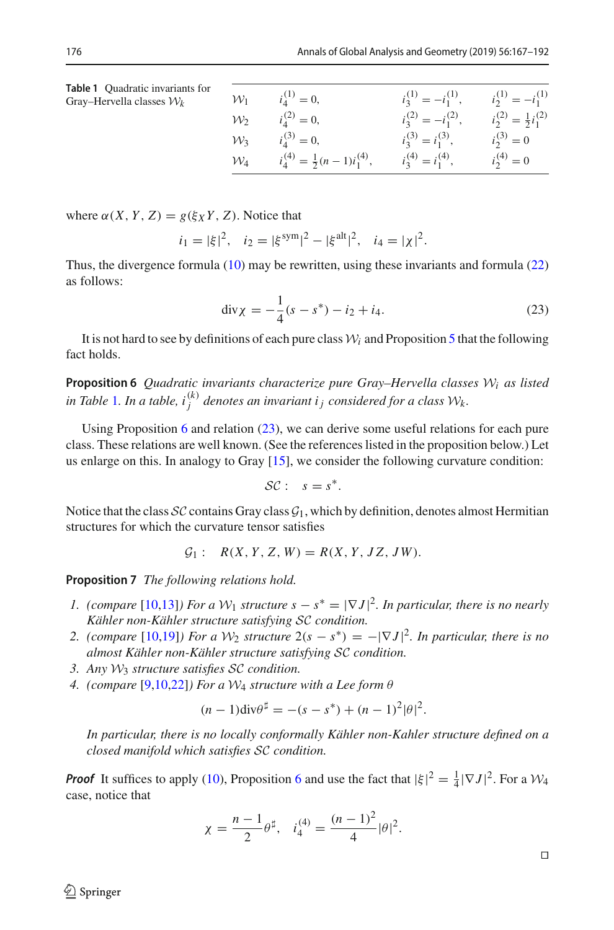<span id="page-9-0"></span>

| <b>Table 1</b> Ouadratic invariants for |                 |  |
|-----------------------------------------|-----------------|--|
| Gray–Hervella classes $\mathcal{W}_k$   | $\mathcal{W}_1$ |  |

| $\mathcal{W}_1$ | $i_4^{(1)} = 0,$                         | $i_3^{(1)} = -i_1^{(1)}$ , | $i_2^{(1)} = -i_1^{(1)}$           |
|-----------------|------------------------------------------|----------------------------|------------------------------------|
| $\mathcal{W}_2$ | $i_4^{(2)} = 0,$                         | $i_3^{(2)} = -i_1^{(2)}$ , | $i_2^{(2)} = \frac{1}{2}i_1^{(2)}$ |
| $\mathcal{W}_3$ | $i_4^{(3)} = 0,$                         | $i_3^{(3)} = i_1^{(3)}$ ,  | $i_2^{(3)} = 0$                    |
| $\mathcal{W}_4$ | $i_4^{(4)} = \frac{1}{2}(n-1)i_1^{(4)},$ | $i_3^{(4)} = i_1^{(4)}$ ,  | $i_2^{(4)}=0$                      |

where  $\alpha(X, Y, Z) = g(\xi_X Y, Z)$ . Notice that

$$
i_1 = |\xi|^2
$$
,  $i_2 = |\xi^{\text{sym}}|^2 - |\xi^{\text{alt}}|^2$ ,  $i_4 = |\chi|^2$ .

Thus, the divergence formula [\(10\)](#page-4-0) may be rewritten, using these invariants and formula [\(22\)](#page-8-0) as follows:

<span id="page-9-2"></span>
$$
\operatorname{div} \chi = -\frac{1}{4}(s - s^*) - i_2 + i_4. \tag{23}
$$

<span id="page-9-1"></span>It is not hard to see by definitions of each pure class  $W_i$  and Proposition [5](#page-8-1) that the following fact holds.

**Proposition 6** *Quadratic invariants characterize pure Gray–Hervella classes W<sup>i</sup> as listed* in Table [1](#page-9-0). In a table,  $i_j^{(k)}$  denotes an invariant  $i_j$  considered for a class  $\mathcal{W}_k$ .

Using Proposition [6](#page-9-1) and relation  $(23)$ , we can derive some useful relations for each pure class. These relations are well known. (See the references listed in the proposition below.) Let us enlarge on this. In analogy to Gray [\[15](#page-25-12)], we consider the following curvature condition:

$$
\mathcal{SC}: \quad s=s^*.
$$

Notice that the class  $SC$  contains Gray class  $G_1$ , which by definition, denotes almost Hermitian structures for which the curvature tensor satisfies

$$
G_1
$$
:  $R(X, Y, Z, W) = R(X, Y, JZ, JW).$ 

<span id="page-9-3"></span>**Proposition 7** *The following relations hold.*

- *1. (compare* [\[10](#page-25-13)[,13\]](#page-25-14)*) For a*  $W_1$  *structure*  $s s^* = |\nabla J|^2$ *. In particular, there is no nearly Kähler non-Kähler structure satisfying SC condition.*
- 2. (compare [\[10](#page-25-13)[,19](#page-25-15)]*)* For a  $W_2$  structure  $2(s s^*) = -|\nabla J|^2$ . In particular, there is no *almost Kähler non-Kähler structure satisfying SC condition.*
- *3. Any W*<sup>3</sup> *structure satisfies SC condition.*
- *4. (compare* [\[9](#page-25-16)[,10](#page-25-13)[,22\]](#page-25-9)*) For a W*<sup>4</sup> *structure with a Lee form* θ

$$
(n-1)\mathrm{div}\theta^{\sharp} = -(s-s^{*}) + (n-1)^{2}|\theta|^{2}.
$$

*In particular, there is no locally conformally Kähler non-Kahler structure defined on a closed manifold which satisfies SC condition.*

*Proof* It suffices to apply [\(10\)](#page-4-0), Proposition [6](#page-9-1) and use the fact that  $|\xi|^2 = \frac{1}{4} |\nabla J|^2$ . For a  $\mathcal{W}_4$ case, notice that

$$
\chi = \frac{n-1}{2}\theta^{\sharp}, \quad i_4^{(4)} = \frac{(n-1)^2}{4}|\theta|^2.
$$

 $\circledcirc$  Springer

 $\Box$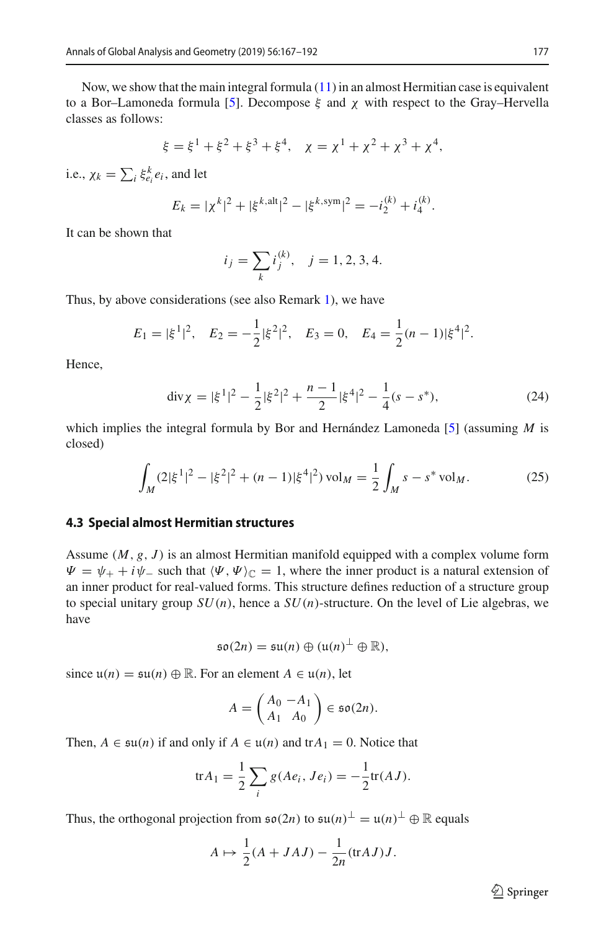Now, we show that the main integral formula  $(11)$  in an almost Hermitian case is equivalent to a Bor–Lamoneda formula [\[5\]](#page-25-6). Decompose  $\xi$  and  $\chi$  with respect to the Gray–Hervella classes as follows:

$$
\xi = \xi^1 + \xi^2 + \xi^3 + \xi^4
$$
,  $\chi = \chi^1 + \chi^2 + \chi^3 + \chi^4$ ,

i.e.,  $\chi_k = \sum_i \xi_{e_i}^k e_i$ , and let

$$
E_k = |\chi^k|^2 + |\xi^{k, \text{alt}}|^2 - |\xi^{k, \text{sym}}|^2 = -i_2^{(k)} + i_4^{(k)}.
$$

It can be shown that

$$
i_j = \sum_k i_j^{(k)}, \quad j = 1, 2, 3, 4.
$$

Thus, by above considerations (see also Remark [1\)](#page-4-2), we have

$$
E_1 = |\xi^1|^2
$$
,  $E_2 = -\frac{1}{2} |\xi^2|^2$ ,  $E_3 = 0$ ,  $E_4 = \frac{1}{2} (n - 1) |\xi^4|^2$ .

Hence,

$$
\operatorname{div}\chi = |\xi^1|^2 - \frac{1}{2}|\xi^2|^2 + \frac{n-1}{2}|\xi^4|^2 - \frac{1}{4}(s - s^*),\tag{24}
$$

which implies the integral formula by Bor and Hernández Lamoneda [\[5\]](#page-25-6) (assuming *M* is closed)

$$
\int_{M} (2|\xi^{1}|^{2} - |\xi^{2}|^{2} + (n-1)|\xi^{4}|^{2}) \operatorname{vol}_{M} = \frac{1}{2} \int_{M} s - s^{*} \operatorname{vol}_{M}.
$$
 (25)

#### **4.3 Special almost Hermitian structures**

Assume (*M*, *g*, *J* ) is an almost Hermitian manifold equipped with a complex volume form  $\Psi = \psi_+ + i\psi_-$  such that  $\langle \Psi, \Psi \rangle_{\mathbb{C}} = 1$ , where the inner product is a natural extension of an inner product for real-valued forms. This structure defines reduction of a structure group to special unitary group  $SU(n)$ , hence a  $SU(n)$ -structure. On the level of Lie algebras, we have

$$
\mathfrak{so}(2n)=\mathfrak{su}(n)\oplus(\mathfrak{u}(n)^{\perp}\oplus\mathbb{R}),
$$

since  $u(n) = \mathfrak{su}(n) \oplus \mathbb{R}$ . For an element  $A \in u(n)$ , let

$$
A = \begin{pmatrix} A_0 & -A_1 \\ A_1 & A_0 \end{pmatrix} \in \mathfrak{so}(2n).
$$

Then,  $A \in \mathfrak{su}(n)$  if and only if  $A \in \mathfrak{u}(n)$  and  $\text{tr}A_1 = 0$ . Notice that

$$
\text{tr} A_1 = \frac{1}{2} \sum_i g(Ae_i, Je_i) = -\frac{1}{2} \text{tr}(AJ).
$$

Thus, the orthogonal projection from  $\mathfrak{so}(2n)$  to  $\mathfrak{su}(n)^{\perp} = \mathfrak{u}(n)^{\perp} \oplus \mathbb{R}$  equals

$$
A \mapsto \frac{1}{2}(A + JAJ) - \frac{1}{2n}(\text{tr}AJ)J.
$$

 $\hat{\mathfrak{D}}$  Springer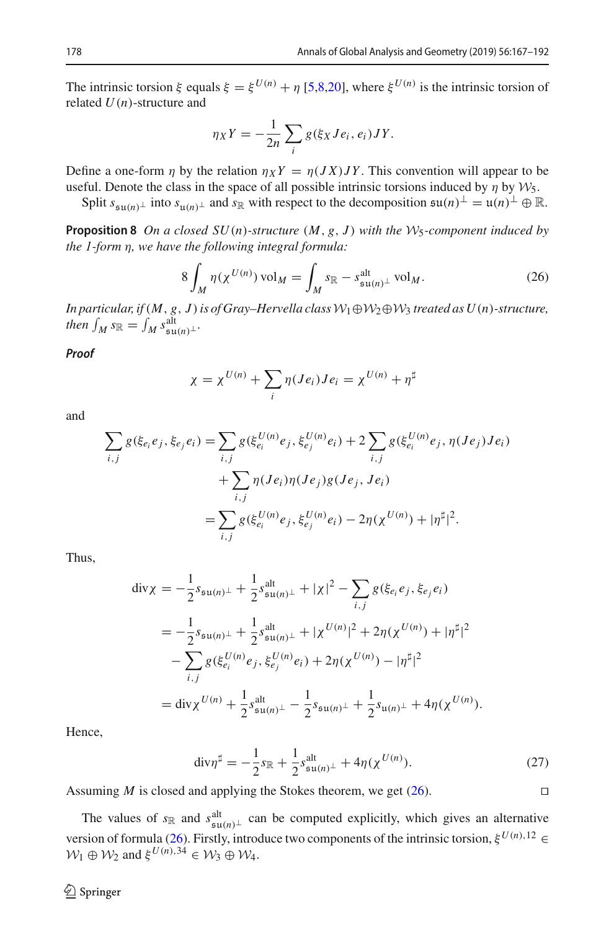The intrinsic torsion  $\xi$  equals  $\xi = \xi^{U(n)} + \eta$  [\[5](#page-25-6)[,8](#page-25-2)[,20](#page-25-4)], where  $\xi^{U(n)}$  is the intrinsic torsion of related *U*(*n*)-structure and

$$
\eta_X Y = -\frac{1}{2n} \sum_i g(\xi_X Je_i, e_i) JY.
$$

Define a one-form  $\eta$  by the relation  $\eta_X Y = \eta(JX)JY$ . This convention will appear to be useful. Denote the class in the space of all possible intrinsic torsions induced by  $\eta$  by  $\mathcal{W}_5$ .

Split  $s_{\mathfrak{su}(n)}\bot$  into  $s_{\mathfrak{u}(n)}\bot$  and  $s_{\mathbb{R}}$  with respect to the decomposition  $\mathfrak{su}(n)\bot = \mathfrak{u}(n)\bot \oplus \mathbb{R}$ .

**Proposition 8** *On a closed SU*(*n*)*-structure* (*M*, *g*, *J* ) *with the W*5*-component induced by the 1-form* η*, we have the following integral formula:*

<span id="page-11-0"></span>
$$
8\int_M \eta(\chi^{U(n)})\,\mathrm{vol}_M = \int_M s_{\mathbb{R}} - s_{\mathfrak{su}(n)}^{\mathrm{alt}} \,\mathrm{vol}_M. \tag{26}
$$

*In particular, if*(*M*, *g*, *J* )*is of Gray–Hervella classW*1⊕*W*2⊕*W*<sup>3</sup> *treated as U*(*n*)*-structure,*  $then$   $\int_M s_{\mathbb{R}} = \int_M s_{\mathfrak{su}(n)}^{\text{alt}}.$ 

*Proof*

$$
\chi = \chi^{U(n)} + \sum_i \eta(Je_i)Je_i = \chi^{U(n)} + \eta^{\sharp}
$$

and

$$
\sum_{i,j} g(\xi_{e_i} e_j, \xi_{e_j} e_i) = \sum_{i,j} g(\xi_{e_i}^{U(n)} e_j, \xi_{e_j}^{U(n)} e_i) + 2 \sum_{i,j} g(\xi_{e_i}^{U(n)} e_j, \eta(Je_j) Je_i) \n+ \sum_{i,j} \eta(Je_i) \eta(Je_j) g(Je_j, Je_i) \n= \sum_{i,j} g(\xi_{e_i}^{U(n)} e_j, \xi_{e_j}^{U(n)} e_i) - 2\eta(\chi^{U(n)}) + |\eta^{\sharp}|^2.
$$

Thus,

$$
\begin{split} \operatorname{div} \chi &= -\frac{1}{2} s_{\mathfrak{su}(n)^{\perp}} + \frac{1}{2} s_{\mathfrak{su}(n)^{\perp}}^{alt} + |\chi|^{2} - \sum_{i,j} g(\xi_{e_{i}} e_{j}, \xi_{e_{j}} e_{i}) \\ &= -\frac{1}{2} s_{\mathfrak{su}(n)^{\perp}} + \frac{1}{2} s_{\mathfrak{su}(n)^{\perp}}^{alt} + |\chi^{U(n)}|^{2} + 2\eta(\chi^{U(n)}) + |\eta^{\sharp}|^{2} \\ &- \sum_{i,j} g(\xi_{e_{i}}^{U(n)} e_{j}, \xi_{e_{j}}^{U(n)} e_{i}) + 2\eta(\chi^{U(n)}) - |\eta^{\sharp}|^{2} \\ &= \operatorname{div} \chi^{U(n)} + \frac{1}{2} s_{\mathfrak{su}(n)^{\perp}}^{alt} - \frac{1}{2} s_{\mathfrak{su}(n)^{\perp}} + \frac{1}{2} s_{\mathfrak{u}(n)^{\perp}} + 4\eta(\chi^{U(n)}). \end{split}
$$

Hence,

$$
\text{div}\eta^{\sharp} = -\frac{1}{2}s_{\mathbb{R}} + \frac{1}{2}s_{\mathfrak{su}(n)^{\perp}}^{\text{alt}} + 4\eta(\chi^{U(n)}).
$$
 (27)

Assuming *M* is closed and applying the Stokes theorem, we get  $(26)$ .

<span id="page-11-1"></span>The values of  $s_{\mathbb{R}}$  and  $s_{\text{sub}}^{\text{alt}}$  can be computed explicitly, which gives an alternative prior of formula (26) Einstanding three divergences are open and the intrinsic tension  $\mathcal{F}^{(n)}$ . 12 version of formula [\(26\)](#page-11-0). Firstly, introduce two components of the intrinsic torsion,  $\xi^{U(n),12}$  $W_1 \oplus W_2$  and  $\xi^{U(n),34} \in W_3 \oplus W_4$ .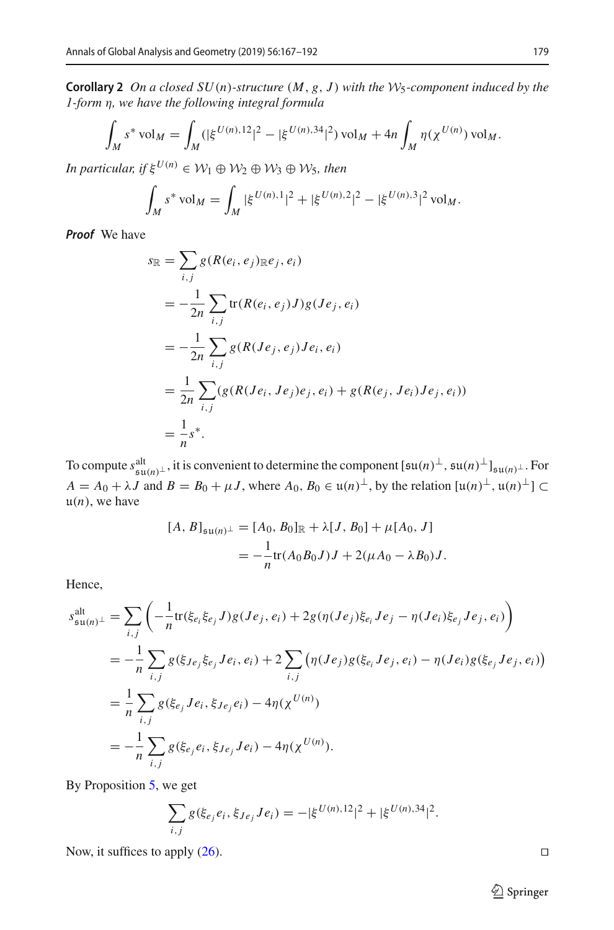**Corollary 2** *On a closed SU*(*n*)*-structure* (*M*, *g*, *J* ) *with the W*5*-component induced by the 1-form* η*, we have the following integral formula*

$$
\int_M s^* \operatorname{vol}_M = \int_M (|\xi^{U(n),12}|^2 - |\xi^{U(n),34}|^2) \operatorname{vol}_M + 4n \int_M \eta(\chi^{U(n)}) \operatorname{vol}_M.
$$

*In particular, if*  $\xi^{U(n)} \in \mathcal{W}_1 \oplus \mathcal{W}_2 \oplus \mathcal{W}_3 \oplus \mathcal{W}_5$ , then

$$
\int_M s^* \operatorname{vol}_M = \int_M |\xi^{U(n),1}|^2 + |\xi^{U(n),2}|^2 - |\xi^{U(n),3}|^2 \operatorname{vol}_M.
$$

*Proof* We have

$$
s_{\mathbb{R}} = \sum_{i,j} g(R(e_i, e_j)_{\mathbb{R}^e j}, e_i)
$$
  
=  $-\frac{1}{2n} \sum_{i,j} tr(R(e_i, e_j) J) g(Je_j, e_i)$   
=  $-\frac{1}{2n} \sum_{i,j} g(R(Je_j, e_j) Je_i, e_i)$   
=  $\frac{1}{2n} \sum_{i,j} (g(R(Je_i, Je_j)e_j, e_i) + g(R(e_j, Je_i)Je_j, e_i))$   
=  $\frac{1}{n} s^*$ .

To compute  $s_{\text{su}(n)}^{\text{alt}}$ , it is convenient to determine the component  $[su(n)^{\perp}, su(n)^{\perp}]_{su(n)^{\perp}}$ . For  $A = A_0 + \lambda J$  and  $B = B_0 + \mu J$ , where  $A_0, B_0 \in \mathfrak{u}(n)^\perp$ , by the relation  $[\mathfrak{u}(n)^\perp, \mathfrak{u}(n)^\perp] \subset$  $u(n)$ , we have

$$
[A, B]_{\mathfrak{su}(n)^{\perp}} = [A_0, B_0]_{\mathbb{R}} + \lambda [J, B_0] + \mu [A_0, J]
$$
  
=  $-\frac{1}{n} \text{tr}(A_0 B_0 J) J + 2(\mu A_0 - \lambda B_0) J.$ 

Hence,

$$
s_{\mathfrak{su}(n)^{\perp}}^{\text{alt}} = \sum_{i,j} \left( -\frac{1}{n} \text{tr}(\xi_{e_i} \xi_{e_j} J) g(Je_j, e_i) + 2g(\eta(Je_j) \xi_{e_i} Je_j - \eta(Je_i) \xi_{e_j} Je_j, e_i) \right)
$$
  
\n
$$
= -\frac{1}{n} \sum_{i,j} g(\xi_{Je_j} \xi_{e_j} Je_i, e_i) + 2 \sum_{i,j} \left( \eta(Je_j) g(\xi_{e_i} Je_j, e_i) - \eta(Je_i) g(\xi_{e_j} Je_j, e_i) \right)
$$
  
\n
$$
= \frac{1}{n} \sum_{i,j} g(\xi_{e_j} Je_i, \xi_{Je_j} e_i) - 4\eta(\chi^{U(n)})
$$
  
\n
$$
= -\frac{1}{n} \sum_{i,j} g(\xi_{e_j} e_i, \xi_{Je_j} Je_i) - 4\eta(\chi^{U(n)}).
$$

By Proposition [5,](#page-8-1) we get

$$
\sum_{i,j} g(\xi_{e_j} e_i, \xi_{Je_j} Je_i) = -|\xi^{U(n),12}|^2 + |\xi^{U(n),34}|^2.
$$

Now, it suffices to apply  $(26)$ .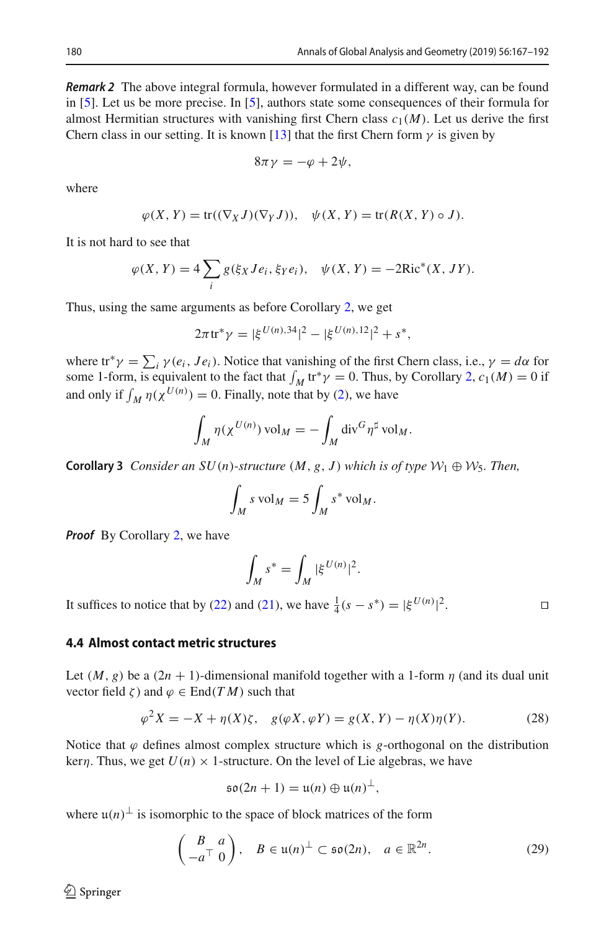*Remark 2* The above integral formula, however formulated in a different way, can be found in [\[5](#page-25-6)]. Let us be more precise. In [\[5](#page-25-6)], authors state some consequences of their formula for almost Hermitian structures with vanishing first Chern class  $c_1(M)$ . Let us derive the first Chern class in our setting. It is known [\[13](#page-25-14)] that the first Chern form  $\gamma$  is given by

$$
8\pi\gamma=-\varphi+2\psi,
$$

where

$$
\varphi(X, Y) = \text{tr}((\nabla_X J)(\nabla_Y J)), \quad \psi(X, Y) = \text{tr}(R(X, Y) \circ J).
$$

It is not hard to see that

$$
\varphi(X, Y) = 4 \sum_{i} g(\xi_X Je_i, \xi_Y e_i), \quad \psi(X, Y) = -2 \text{Ric}^*(X, JY).
$$

Thus, using the same arguments as before Corollary [2,](#page-11-1) we get

$$
2\pi \operatorname{tr}^* \gamma = |\xi^{U(n),34}|^2 - |\xi^{U(n),12}|^2 + s^*,
$$

where tr<sup>\*</sup> $\gamma = \sum_i \gamma(e_i, Je_i)$ . Notice that vanishing of the first Chern class, i.e.,  $\gamma = d\alpha$  for some 1-form, is equivalent to the fact that  $\int_M tr^* \gamma = 0$ . Thus, by Corollary [2,](#page-11-1)  $c_1(M) = 0$  if and only if  $\int_M \eta(\chi^{U(n)}) = 0$ . Finally, note that by [\(2\)](#page-2-2), we have

$$
\int_M \eta(\chi^{U(n)}) \operatorname{vol}_M = -\int_M \operatorname{div}^G \eta^{\sharp} \operatorname{vol}_M.
$$

**Corollary 3** *Consider an SU(n)-structure*  $(M, g, J)$  *which is of type*  $W_1 \oplus W_5$ *. Then,* 

$$
\int_M s \operatorname{vol}_M = 5 \int_M s^* \operatorname{vol}_M.
$$

*Proof* By Corollary [2,](#page-11-1) we have

$$
\int_M s^* = \int_M |\xi^{U(n)}|^2.
$$

It suffices to notice that by [\(22\)](#page-8-0) and [\(21\)](#page-8-2), we have  $\frac{1}{4}(s - s^*) = |\xi^{U(n)}|$  $\overline{a}$ .

#### **4.4 Almost contact metric structures**

Let  $(M, g)$  be a  $(2n + 1)$ -dimensional manifold together with a 1-form  $\eta$  (and its dual unit vector field  $\zeta$ ) and  $\varphi \in \text{End}(T M)$  such that

<span id="page-13-0"></span>
$$
\varphi^{2} X = -X + \eta(X)\zeta, \quad g(\varphi X, \varphi Y) = g(X, Y) - \eta(X)\eta(Y). \tag{28}
$$

Notice that  $\varphi$  defines almost complex structure which is *g*-orthogonal on the distribution ker*n*. Thus, we get  $U(n) \times 1$ -structure. On the level of Lie algebras, we have

$$
\mathfrak{so}(2n+1)=\mathfrak{u}(n)\oplus\mathfrak{u}(n)^{\perp},
$$

where  $\mu(n)$ <sup>⊥</sup> is isomorphic to the space of block matrices of the form

<span id="page-13-1"></span>
$$
\begin{pmatrix} B & a \\ -a^{\top} & 0 \end{pmatrix}, \quad B \in \mathfrak{u}(n)^{\perp} \subset \mathfrak{so}(2n), \quad a \in \mathbb{R}^{2n}.
$$
 (29)

 $\circledcirc$  Springer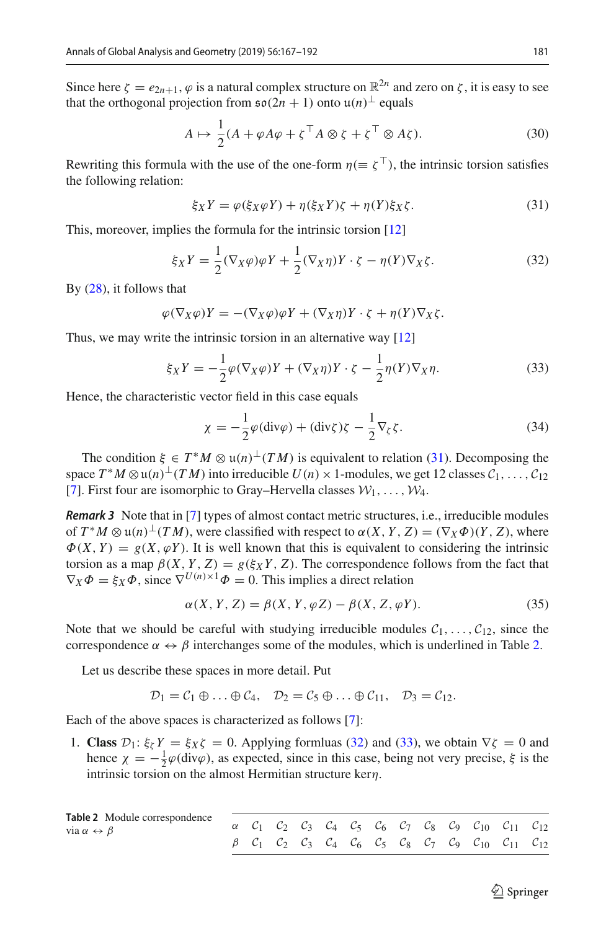Since here  $\zeta = e_{2n+1}$ ,  $\varphi$  is a natural complex structure on  $\mathbb{R}^{2n}$  and zero on  $\zeta$ , it is easy to see that the orthogonal projection from  $\mathfrak{so}(2n + 1)$  onto  $\mathfrak{u}(n)^\perp$  equals

<span id="page-14-5"></span>
$$
A \mapsto \frac{1}{2} (A + \varphi A \varphi + \zeta^\top A \otimes \zeta + \zeta^\top \otimes A \zeta).
$$
 (30)

Rewriting this formula with the use of the one-form  $\eta (\equiv \zeta^{\top})$ , the intrinsic torsion satisfies the following relation:

<span id="page-14-0"></span>
$$
\xi_X Y = \varphi(\xi_X \varphi Y) + \eta(\xi_X Y)\zeta + \eta(Y)\xi_X\zeta. \tag{31}
$$

This, moreover, implies the formula for the intrinsic torsion [\[12\]](#page-25-8)

<span id="page-14-2"></span>
$$
\xi_X Y = \frac{1}{2} (\nabla_X \varphi) \varphi Y + \frac{1}{2} (\nabla_X \eta) Y \cdot \zeta - \eta(Y) \nabla_X \zeta. \tag{32}
$$

By [\(28\)](#page-13-0), it follows that

$$
\varphi(\nabla_X \varphi)Y = -(\nabla_X \varphi)\varphi Y + (\nabla_X \eta)Y \cdot \zeta + \eta(Y)\nabla_X \zeta.
$$

Thus, we may write the intrinsic torsion in an alternative way [\[12](#page-25-8)]

<span id="page-14-3"></span>
$$
\xi_X Y = -\frac{1}{2}\varphi(\nabla_X \varphi)Y + (\nabla_X \eta)Y \cdot \zeta - \frac{1}{2}\eta(Y)\nabla_X \eta.
$$
 (33)

Hence, the characteristic vector field in this case equals

<span id="page-14-4"></span>
$$
\chi = -\frac{1}{2}\varphi(\text{div}\varphi) + (\text{div}\zeta)\zeta - \frac{1}{2}\nabla_{\zeta}\zeta.
$$
 (34)

The condition  $\xi \in T^*M \otimes \mathfrak{u}(n)^\perp (TM)$  is equivalent to relation [\(31\)](#page-14-0). Decomposing the space  $T^*M \otimes \mathfrak{u}(n)^\perp (TM)$  into irreducible  $U(n) \times 1$ -modules, we get 12 classes  $C_1, \ldots, C_{12}$ [\[7](#page-25-1)]. First four are isomorphic to Gray–Hervella classes  $W_1, \ldots, W_4$ .

*Remark 3* Note that in [\[7\]](#page-25-1) types of almost contact metric structures, i.e., irreducible modules of  $T^*M \otimes \mathfrak{u}(n) \perp (TM)$ , were classified with respect to  $\alpha(X, Y, Z) = (\nabla_X \Phi)(Y, Z)$ , where  $\Phi(X, Y) = g(X, \varphi Y)$ . It is well known that this is equivalent to considering the intrinsic torsion as a map  $\beta(X, Y, Z) = g(\xi_X Y, Z)$ . The correspondence follows from the fact that  $\nabla_X \Phi = \xi_X \Phi$ , since  $\nabla^{U(n) \times 1} \Phi = 0$ . This implies a direct relation

$$
\alpha(X, Y, Z) = \beta(X, Y, \varphi Z) - \beta(X, Z, \varphi Y). \tag{35}
$$

Note that we should be careful with studying irreducible modules  $C_1, \ldots, C_{12}$ , since the correspondence  $\alpha \leftrightarrow \beta$  interchanges some of the modules, which is underlined in Table [2.](#page-14-1)

Let us describe these spaces in more detail. Put

$$
\mathcal{D}_1=\mathcal{C}_1\oplus\ldots\oplus\mathcal{C}_4,\quad \mathcal{D}_2=\mathcal{C}_5\oplus\ldots\oplus\mathcal{C}_{11},\quad \mathcal{D}_3=\mathcal{C}_{12}.
$$

Each of the above spaces is characterized as follows [\[7\]](#page-25-1):

1. **Class**  $\mathcal{D}_1$ :  $\xi_\zeta Y = \xi_X \zeta = 0$ . Applying formluas [\(32\)](#page-14-2) and [\(33\)](#page-14-3), we obtain  $\nabla \zeta = 0$  and hence  $\chi = -\frac{1}{2}\varphi(\text{div}\varphi)$ , as expected, since in this case, being not very precise,  $\xi$  is the intrinsic torsion on the almost Hermitian structure kerη.

<span id="page-14-1"></span>

| Table 2 Module correspondence<br>via $\alpha \leftrightarrow \beta$ |  |  |  |  |  | $\alpha$ $C_1$ $C_2$ $C_3$ $C_4$ $C_5$ $C_6$ $C_7$ $C_8$ $C_9$ $C_{10}$ $C_{11}$ $C_{12}$ |  |
|---------------------------------------------------------------------|--|--|--|--|--|-------------------------------------------------------------------------------------------|--|
|                                                                     |  |  |  |  |  | $\beta$ $C_1$ $C_2$ $C_3$ $C_4$ $C_6$ $C_5$ $C_8$ $C_7$ $C_9$ $C_{10}$ $C_{11}$ $C_{12}$  |  |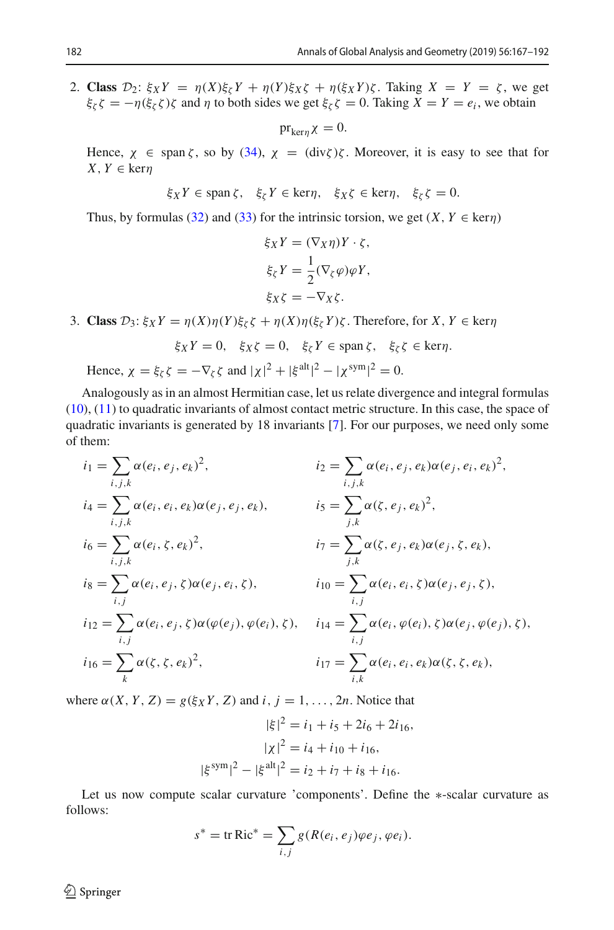2. **Class**  $\mathcal{D}_2$ :  $\xi_X Y = \eta(X)\xi_Y Y + \eta(Y)\xi_X \zeta + \eta(\xi_X Y)\zeta$ . Taking  $X = Y = \zeta$ , we get  $\xi_{\zeta} \zeta = -\eta(\xi_{\zeta} \zeta) \zeta$  and  $\eta$  to both sides we get  $\xi_{\zeta} \zeta = 0$ . Taking  $X = Y = e_i$ , we obtain

 $pr_{\text{ker }n} \chi = 0.$ 

Hence,  $\chi \in \text{span }\zeta$ , so by [\(34\)](#page-14-4),  $\chi = (\text{div }\zeta)\zeta$ . Moreover, it is easy to see that for  $X, Y \in \text{ker}\eta$ 

$$
\xi_X Y \in \text{span }\zeta, \quad \xi_\zeta Y \in \text{ker}\eta, \quad \xi_X \zeta \in \text{ker}\eta, \quad \xi_\zeta \zeta = 0.
$$

Thus, by formulas [\(32\)](#page-14-2) and [\(33\)](#page-14-3) for the intrinsic torsion, we get  $(X, Y \in \text{ker}\eta)$ 

$$
\xi_X Y = (\nabla_X \eta) Y \cdot \zeta,
$$
  
\n
$$
\xi_{\zeta} Y = \frac{1}{2} (\nabla_{\zeta} \varphi) \varphi Y,
$$
  
\n
$$
\xi_X \zeta = -\nabla_X \zeta.
$$

3. **Class**  $\mathcal{D}_3$ :  $\xi_X Y = \eta(X)\eta(Y)\xi_\zeta \zeta + \eta(X)\eta(\xi_\zeta Y)\zeta$ . Therefore, for  $X, Y \in \text{ker}\eta$ 

$$
\xi_X Y = 0, \quad \xi_X \zeta = 0, \quad \xi_{\zeta} Y \in \text{span}\,\zeta, \quad \xi_{\zeta} \zeta \in \text{ker}\,\eta.
$$
  
Hence,  $\chi = \xi_{\zeta} \zeta = -\nabla_{\zeta} \zeta$  and  $|\chi|^2 + |\xi^{\text{alt}}|^2 - |\chi^{\text{sym}}|^2 = 0$ .

Analogously as in an almost Hermitian case, let us relate divergence and integral formulas [\(10\)](#page-4-0), [\(11\)](#page-4-1) to quadratic invariants of almost contact metric structure. In this case, the space of quadratic invariants is generated by 18 invariants [\[7\]](#page-25-1). For our purposes, we need only some of them:

$$
i_1 = \sum_{i,j,k} \alpha(e_i, e_j, e_k)^2,
$$
  
\n
$$
i_4 = \sum_{i,j,k} \alpha(e_i, e_i, e_k) \alpha(e_j, e_j, e_k),
$$
  
\n
$$
i_5 = \sum_{j,k} \alpha(\zeta, e_j, e_k) \alpha(e_j, e_j, e_k),
$$
  
\n
$$
i_6 = \sum_{i,j,k} \alpha(e_i, \zeta, e_k)^2,
$$
  
\n
$$
i_7 = \sum_{j,k} \alpha(\zeta, e_j, e_k) \alpha(e_j, \zeta, e_k),
$$
  
\n
$$
i_8 = \sum_{i,j} \alpha(e_i, e_j, \zeta) \alpha(e_j, e_i, \zeta),
$$
  
\n
$$
i_{10} = \sum_{i,j} \alpha(e_i, e_i, \zeta) \alpha(e_j, e_j, \zeta),
$$
  
\n
$$
i_{11} = \sum_{i,j} \alpha(e_i, e_i, \zeta) \alpha(\varphi(e_j), \varphi(e_i), \zeta),
$$
  
\n
$$
i_{14} = \sum_{i,j} \alpha(e_i, \varphi(e_i), \zeta) \alpha(e_j, \varphi(e_j), \zeta),
$$
  
\n
$$
i_{16} = \sum_k \alpha(\zeta, \zeta, e_k)^2,
$$
  
\n
$$
i_{17} = \sum_{i,k} \alpha(e_i, e_i, e_k) \alpha(\zeta, \zeta, e_k),
$$

where  $\alpha(X, Y, Z) = g(\xi_X Y, Z)$  and  $i, j = 1, \ldots, 2n$ . Notice that

$$
|\xi|^2 = i_1 + i_5 + 2i_6 + 2i_{16},
$$

$$
|\chi|^2 = i_4 + i_{10} + i_{16},
$$

$$
|\xi^{\text{sym}}|^2 - |\xi^{\text{alt}}|^2 = i_2 + i_7 + i_8 + i_{16}.
$$

Let us now compute scalar curvature 'components'. Define the ∗-scalar curvature as follows:

$$
s^* = \text{tr Ric}^* = \sum_{i,j} g(R(e_i, e_j)\varphi e_j, \varphi e_i).
$$

<span id="page-15-0"></span> $\bigcirc$  Springer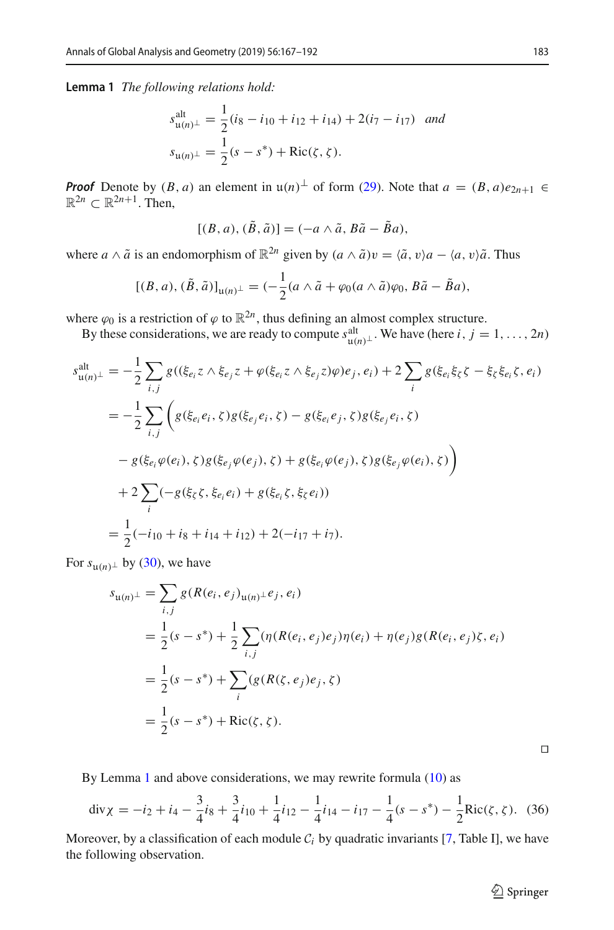**Lemma 1** *The following relations hold:*

$$
s_{\mathfrak{u}(n)^{\perp}}^{\text{alt}} = \frac{1}{2} (i_8 - i_{10} + i_{12} + i_{14}) + 2(i_7 - i_{17}) \quad \text{and}
$$

$$
s_{\mathfrak{u}(n)^{\perp}} = \frac{1}{2} (s - s^*) + \text{Ric}(\zeta, \zeta).
$$

*Proof* Denote by  $(B, a)$  an element in  $u(n)^\perp$  of form [\(29\)](#page-13-1). Note that  $a = (B, a)e_{2n+1} \in$  $\mathbb{R}^{2n} \subset \mathbb{R}^{2n+1}$ . Then,

$$
[(B, a), (\tilde{B}, \tilde{a})] = (-a \wedge \tilde{a}, B\tilde{a} - \tilde{B}a),
$$

where *a*  $\wedge$   $\tilde{a}$  is an endomorphism of  $\mathbb{R}^{2n}$  given by  $(a \wedge \tilde{a})v = \langle \tilde{a}, v \rangle a - \langle a, v \rangle \tilde{a}$ . Thus

$$
[(B, a), (\tilde{B}, \tilde{a})]_{\mathfrak{u}(n)^{\perp}} = (-\frac{1}{2}(a \wedge \tilde{a} + \varphi_0(a \wedge \tilde{a})\varphi_0, B\tilde{a} - \tilde{B}a),
$$

where  $\varphi_0$  is a restriction of  $\varphi$  to  $\mathbb{R}^{2n}$ , thus defining an almost complex structure.

By these considerations, we are ready to compute  $s_{\mathfrak{u}(n)}^{\text{alt}}$ . We have (here *i*, *j* = 1, ..., 2*n*)

$$
s_{\mathfrak{u}(n)^{\perp}}^{\text{alt}} = -\frac{1}{2} \sum_{i,j} g((\xi_{e_i} z \wedge \xi_{e_j} z + \varphi(\xi_{e_i} z \wedge \xi_{e_j} z) \varphi) e_j, e_i) + 2 \sum_{i} g(\xi_{e_i} \xi_{\zeta} \zeta - \xi_{\zeta} \xi_{e_i} \zeta, e_i)
$$
  

$$
= -\frac{1}{2} \sum_{i,j} \left( g(\xi_{e_i} e_i, \zeta) g(\xi_{e_j} e_i, \zeta) - g(\xi_{e_i} e_j, \zeta) g(\xi_{e_j} e_i, \zeta) \right)
$$

$$
- g(\xi_{e_i} \varphi(e_i), \zeta) g(\xi_{e_j} \varphi(e_j), \zeta) + g(\xi_{e_i} \varphi(e_j), \zeta) g(\xi_{e_j} \varphi(e_i), \zeta) \right)
$$

$$
+ 2 \sum_{i} (-g(\xi_{\zeta} \zeta, \xi_{e_i} e_i) + g(\xi_{e_i} \zeta, \xi_{\zeta} e_i))
$$

$$
= \frac{1}{2} (-i_{10} + i_{8} + i_{14} + i_{12}) + 2(-i_{17} + i_{7}).
$$

For  $s_{\mathfrak{u}(n)}$ <sup>⊥</sup> by [\(30\)](#page-14-5), we have

$$
s_{\mathfrak{u}(n)^{\perp}} = \sum_{i,j} g(R(e_i, e_j)_{\mathfrak{u}(n)^{\perp}} e_j, e_i)
$$
  
=  $\frac{1}{2}(s - s^*) + \frac{1}{2} \sum_{i,j} (\eta(R(e_i, e_j)e_j)\eta(e_i) + \eta(e_j)g(R(e_i, e_j)\zeta, e_i))$   
=  $\frac{1}{2}(s - s^*) + \sum_i (g(R(\zeta, e_j)e_j, \zeta))$   
=  $\frac{1}{2}(s - s^*) + \text{Ric}(\zeta, \zeta).$ 

By Lemma [1](#page-15-0) and above considerations, we may rewrite formula [\(10\)](#page-4-0) as

<span id="page-16-0"></span>
$$
\operatorname{div}\chi = -i_2 + i_4 - \frac{3}{4}i_8 + \frac{3}{4}i_{10} + \frac{1}{4}i_{12} - \frac{1}{4}i_{14} - i_{17} - \frac{1}{4}(s - s^*) - \frac{1}{2}\operatorname{Ric}(\zeta, \zeta). \tag{36}
$$

<span id="page-16-1"></span>Moreover, by a classification of each module  $C_i$  by quadratic invariants [\[7,](#page-25-1) Table I], we have the following observation.

 $\Box$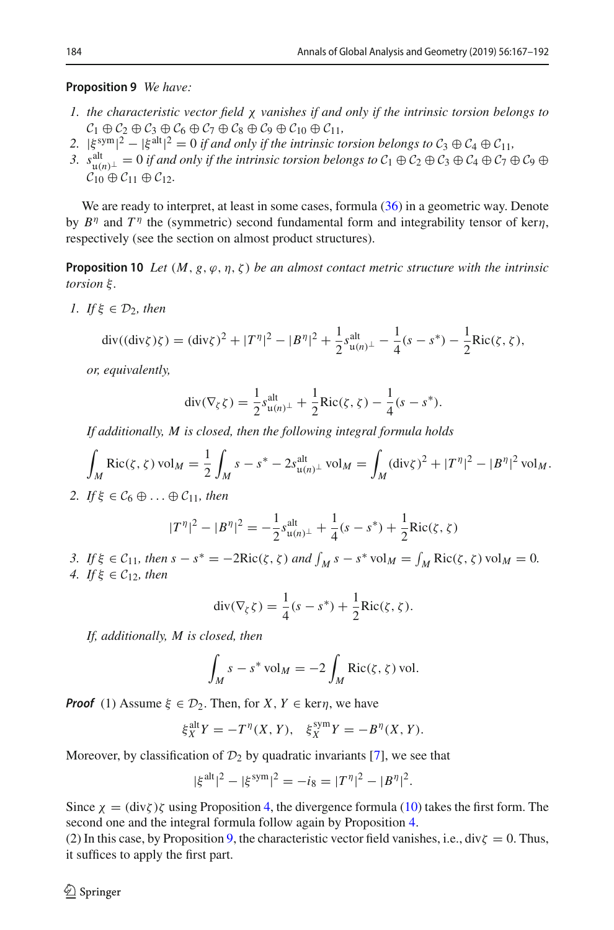#### **Proposition 9** *We have:*

- *1. the characteristic vector field* χ *vanishes if and only if the intrinsic torsion belongs to*  $\mathcal{C}_1 \oplus \mathcal{C}_2 \oplus \mathcal{C}_3 \oplus \mathcal{C}_6 \oplus \mathcal{C}_7 \oplus \mathcal{C}_8 \oplus \mathcal{C}_9 \oplus \mathcal{C}_{10} \oplus \mathcal{C}_{11}$
- $2. |\xi^{sym}|^2 |\xi^{alt}|^2 = 0$  *if and only if the intrinsic torsion belongs to*  $C_3 \oplus C_4 \oplus C_{11}$ ,
- *3.*  $s_{u(n)\perp}^{alt} = 0$  *if and only if the intrinsic torsion belongs to*  $C_1 \oplus C_2 \oplus C_3 \oplus C_4 \oplus C_7 \oplus C_9 \oplus C_1 \oplus C_{11} \oplus C_{12}$ .  $C_{10} \oplus C_{11} \oplus C_{12}$ .

We are ready to interpret, at least in some cases, formula  $(36)$  in a geometric way. Denote by  $B^{\eta}$  and  $T^{\eta}$  the (symmetric) second fundamental form and integrability tensor of kern, respectively (see the section on almost product structures).

<span id="page-17-0"></span>**Proposition 10** Let  $(M, g, \varphi, \eta, \zeta)$  be an almost contact metric structure with the intrinsic *torsion* ξ *.*

*1. If*  $\xi \in \mathcal{D}_2$ *, then* 

$$
\operatorname{div}((\operatorname{div}\zeta)\zeta) = (\operatorname{div}\zeta)^2 + |T^{\eta}|^2 - |B^{\eta}|^2 + \frac{1}{2} s_{\mathfrak{u}(n)^{\perp}}^{\text{alt}} - \frac{1}{4}(s - s^*) - \frac{1}{2} \operatorname{Ric}(\zeta, \zeta),
$$

*or, equivalently,*

$$
\operatorname{div}(\nabla_{\zeta}\zeta) = \frac{1}{2} s_{\mathfrak{u}(n)^{\perp}}^{\text{alt}} + \frac{1}{2} \operatorname{Ric}(\zeta, \zeta) - \frac{1}{4} (s - s^*).
$$

*If additionally, M is closed, then the following integral formula holds*

$$
\int_M \text{Ric}(\zeta, \zeta) \, \text{vol}_M = \frac{1}{2} \int_M s - s^* - 2s_{\mathfrak{u}(n)^\perp}^{\text{alt}} \text{vol}_M = \int_M (\text{div}\zeta)^2 + |T^\eta|^2 - |B^\eta|^2 \, \text{vol}_M.
$$

*2. If*  $\xi \in C_6 \oplus \ldots \oplus C_{11}$ *, then* 

$$
|T^{\eta}|^2 - |B^{\eta}|^2 = -\frac{1}{2} s_{\mathfrak{u}(n)}^{\text{alt}} + \frac{1}{4} (s - s^*) + \frac{1}{2} \text{Ric}(\zeta, \zeta)
$$

*3. If* ξ ∈ *C*<sub>11</sub>*, then s* − *s*<sup>∗</sup> = −2Ric(ζ, ζ) *and*  $\int_M s - s^*$  vol $M = \int_M \text{Ric}(\zeta, \zeta)$  vol $M = 0$ . *4. If* ξ ∈  $C_1$ <sub>2</sub>*, then* 

$$
\operatorname{div}(\nabla_{\zeta}\zeta) = \frac{1}{4}(s-s^*) + \frac{1}{2}\operatorname{Ric}(\zeta,\zeta).
$$

*If, additionally, M is closed, then*

$$
\int_M s - s^* \operatorname{vol}_M = -2 \int_M \operatorname{Ric}(\zeta, \zeta) \operatorname{vol}.
$$

*Proof* (1) Assume  $\xi \in \mathcal{D}_2$ . Then, for *X*, *Y*  $\in$  ker*n*, we have

$$
\xi_X^{\text{alt}} Y = -T^{\eta}(X, Y), \quad \xi_X^{\text{sym}} Y = -B^{\eta}(X, Y).
$$

Moreover, by classification of  $\mathcal{D}_2$  by quadratic invariants [\[7](#page-25-1)], we see that

$$
|\xi^{\text{alt}}|^2 - |\xi^{\text{sym}}|^2 = -i_8 = |T^{\eta}|^2 - |B^{\eta}|^2.
$$

Since  $\chi = (\text{div}\zeta)\zeta$  using Proposition [4,](#page-6-2) the divergence formula [\(10\)](#page-4-0) takes the first form. The second one and the integral formula follow again by Proposition [4.](#page-6-2)

(2) In this case, by Proposition [9,](#page-16-1) the characteristic vector field vanishes, i.e., div $\zeta = 0$ . Thus, it suffices to apply the first part.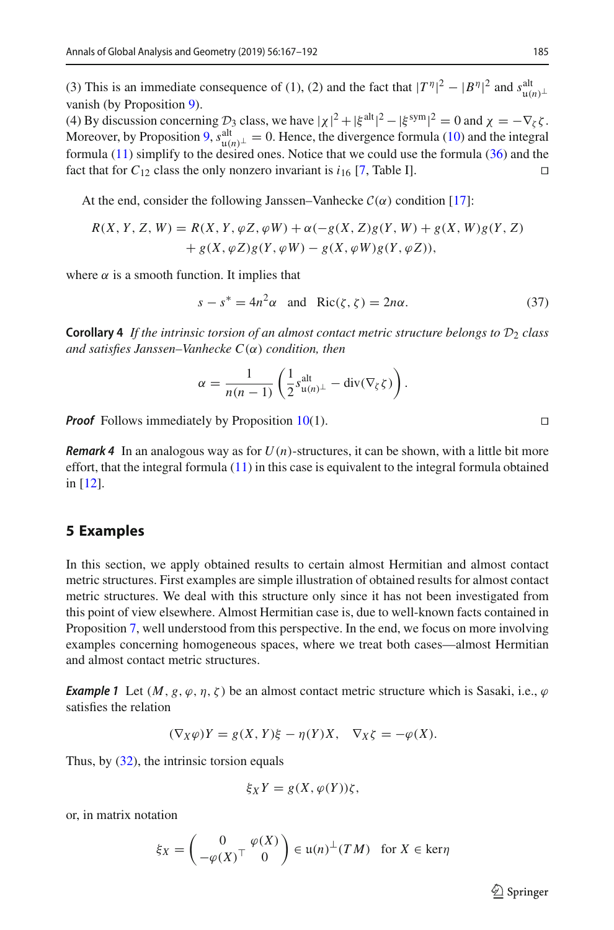(3) This is an immediate consequence of (1), (2) and the fact that  $|T^{\eta}|^2 - |B^{\eta}|^2$  and  $s_{\mu(n)}^{\text{alt}}$  vanish (by Proposition 9). vanish (by Proposition [9\)](#page-16-1).

(4) By discussion concerning  $\mathcal{D}_3$  class, we have  $|\chi|^2 + |\xi^{alt}|^2 - |\xi^{sym}|^2 = 0$  and  $\chi = -\nabla_{\zeta}\zeta$ . Moreover, by Proposition [9,](#page-16-1)  $s_{\mu(n)}^{\text{alt}} = 0$ . Hence, the divergence formula [\(10\)](#page-4-0) and the integral formula (11) simplify to the desired ones. Notice that we could use the formula (36) and the formula [\(11\)](#page-4-1) simplify to the desired ones. Notice that we could use the formula [\(36\)](#page-16-0) and the fact that for  $C_{12}$  class the only nonzero invariant is  $i_{16}$  [\[7,](#page-25-1) Table I].

At the end, consider the following Janssen–Vanhecke  $C(\alpha)$  condition [\[17](#page-25-17)]:

$$
R(X, Y, Z, W) = R(X, Y, \varphi Z, \varphi W) + \alpha(-g(X, Z)g(Y, W) + g(X, W)g(Y, Z) + g(X, \varphi Z)g(Y, \varphi W) - g(X, \varphi W)g(Y, \varphi Z)),
$$

where  $\alpha$  is a smooth function. It implies that

<span id="page-18-0"></span>
$$
s - s^* = 4n^2\alpha \quad \text{and} \quad \text{Ric}(\zeta, \zeta) = 2n\alpha. \tag{37}
$$

**Corollary 4** If the intrinsic torsion of an almost contact metric structure belongs to  $\mathcal{D}_2$  class *and satisfies Janssen–Vanhecke C*(α) *condition, then*

$$
\alpha = \frac{1}{n(n-1)} \left( \frac{1}{2} s_{\mathfrak{u}(n)^{\perp}}^{\text{alt}} - \text{div}(\nabla_{\zeta} \zeta) \right).
$$

*Proof* Follows immediately by Proposition  $10(1)$  $10(1)$ .

*Remark 4* In an analogous way as for *U*(*n*)-structures, it can be shown, with a little bit more effort, that the integral formula [\(11\)](#page-4-1) in this case is equivalent to the integral formula obtained in [\[12\]](#page-25-8).

#### **5 Examples**

In this section, we apply obtained results to certain almost Hermitian and almost contact metric structures. First examples are simple illustration of obtained results for almost contact metric structures. We deal with this structure only since it has not been investigated from this point of view elsewhere. Almost Hermitian case is, due to well-known facts contained in Proposition [7,](#page-9-3) well understood from this perspective. In the end, we focus on more involving examples concerning homogeneous spaces, where we treat both cases—almost Hermitian and almost contact metric structures.

*Example 1* Let  $(M, g, \varphi, \eta, \zeta)$  be an almost contact metric structure which is Sasaki, i.e.,  $\varphi$ satisfies the relation

$$
(\nabla_X \varphi)Y = g(X, Y)\xi - \eta(Y)X, \quad \nabla_X \zeta = -\varphi(X).
$$

Thus, by  $(32)$ , the intrinsic torsion equals

$$
\xi_X Y = g(X, \varphi(Y))\zeta,
$$

or, in matrix notation

$$
\xi_X = \begin{pmatrix} 0 & \varphi(X) \\ -\varphi(X)^\top & 0 \end{pmatrix} \in \mathfrak{u}(n)^\perp (TM) \text{ for } X \in \text{ker}\eta
$$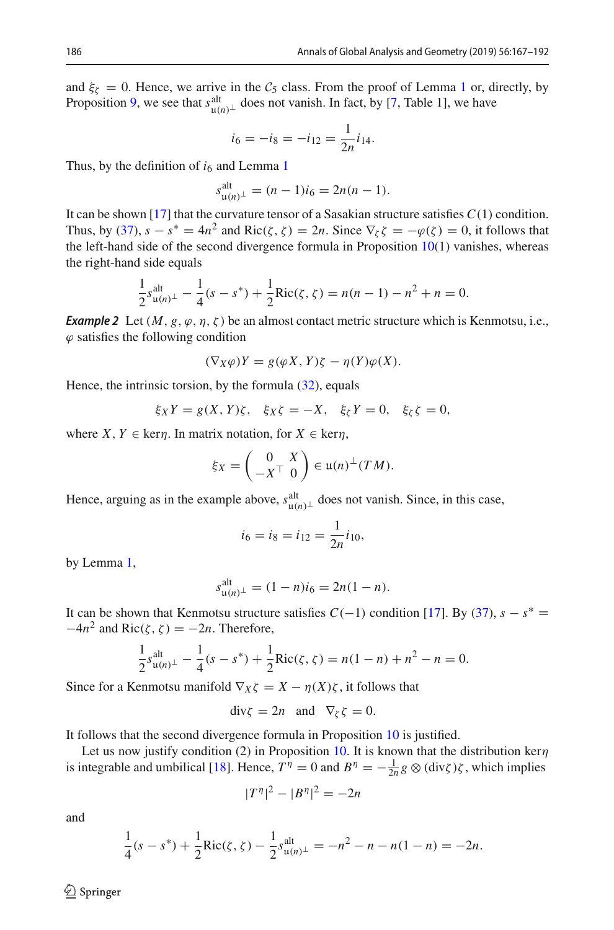and  $\xi_{\zeta} = 0$ . Hence, we arrive in the  $C_5$  class. From the proof of Lemma [1](#page-15-0) or, directly, by Proposition [9,](#page-16-1) we see that  $s_{\mu(n)+}^{\text{alt}}$  does not vanish. In fact, by [\[7](#page-25-1), Table 1], we have

$$
i_6 = -i_8 = -i_{12} = \frac{1}{2n}i_{14}.
$$

Thus, by the definition of  $i<sub>6</sub>$  and Lemma [1](#page-15-0)

$$
s_{\mathfrak{u}(n)^{\perp}}^{\text{alt}} = (n-1)i_6 = 2n(n-1).
$$

It can be shown [\[17](#page-25-17)] that the curvature tensor of a Sasakian structure satisfies  $C(1)$  condition. Thus, by [\(37\)](#page-18-0),  $s - s^* = 4n^2$  and Ric( $\zeta$ ,  $\zeta$ ) = 2*n*. Since  $\nabla_{\zeta} \zeta = -\varphi(\zeta) = 0$ , it follows that the left-hand side of the second divergence formula in Proposition  $10(1)$  $10(1)$  vanishes, whereas the right-hand side equals

$$
\frac{1}{2}s_{\mathfrak{u}(n)^{\perp}}^{\text{alt}} - \frac{1}{4}(s - s^{*}) + \frac{1}{2}\text{Ric}(\zeta, \zeta) = n(n - 1) - n^{2} + n = 0.
$$

*Example 2* Let  $(M, g, \varphi, \eta, \zeta)$  be an almost contact metric structure which is Kenmotsu, i.e.,  $\varphi$  satisfies the following condition

$$
(\nabla_X \varphi)Y = g(\varphi X, Y)\zeta - \eta(Y)\varphi(X).
$$

Hence, the intrinsic torsion, by the formula  $(32)$ , equals

$$
\xi_X Y = g(X, Y)\zeta, \quad \xi_X \zeta = -X, \quad \xi_\zeta Y = 0, \quad \xi_\zeta \zeta = 0,
$$

where *X*, *Y*  $\in$  ker*n*. In matrix notation, for *X*  $\in$  ker*n*,

$$
\xi_X = \begin{pmatrix} 0 & X \\ -X^\top & 0 \end{pmatrix} \in \mathfrak{u}(n)^\perp (TM).
$$

Hence, arguing as in the example above,  $s_{\mathfrak{u}(n)}^{\text{alt}}$  does not vanish. Since, in this case,

$$
i_6 = i_8 = i_{12} = \frac{1}{2n}i_{10},
$$

by Lemma [1,](#page-15-0)

$$
s_{\mathfrak{u}(n)^{\perp}}^{\text{alt}} = (1 - n)i_6 = 2n(1 - n).
$$

It can be shown that Kenmotsu structure satisfies  $C(-1)$  condition [\[17\]](#page-25-17). By [\(37\)](#page-18-0),  $s - s^* =$  $-4n^2$  and Ric( $\zeta$ ,  $\zeta$ ) =  $-2n$ . Therefore,

$$
\frac{1}{2}s_{\mathfrak{u}(n)^{\perp}}^{\text{alt}} - \frac{1}{4}(s - s^*) + \frac{1}{2}\text{Ric}(\zeta, \zeta) = n(1 - n) + n^2 - n = 0.
$$

Since for a Kenmotsu manifold  $\nabla_X \zeta = X - \eta(X)\zeta$ , it follows that

$$
\operatorname{div}\zeta = 2n \quad \text{and} \quad \nabla_{\zeta}\zeta = 0.
$$

It follows that the second divergence formula in Proposition [10](#page-17-0) is justified.

Let us now justify condition (2) in Proposition [10.](#page-17-0) It is known that the distribution kern is integrable and umbilical [\[18](#page-25-18)]. Hence,  $T^{\eta} = 0$  and  $B^{\eta} = -\frac{1}{2n}g \otimes (\text{div}\zeta)\zeta$ , which implies

$$
|T^{\eta}|^2 - |B^{\eta}|^2 = -2n
$$

and

$$
\frac{1}{4}(s-s^*) + \frac{1}{2}\text{Ric}(\zeta,\zeta) - \frac{1}{2}s_{\mathfrak{u}(n)^{\perp}}^{\text{alt}} = -n^2 - n - n(1-n) = -2n.
$$

 $\mathcal{L}$  Springer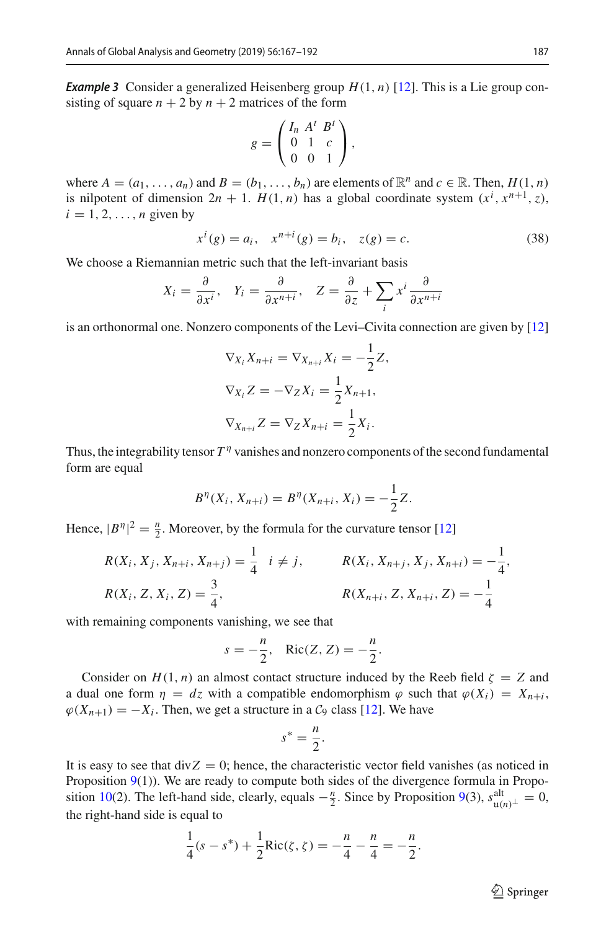*Example 3* Consider a generalized Heisenberg group  $H(1, n)$  [\[12](#page-25-8)]. This is a Lie group consisting of square  $n + 2$  by  $n + 2$  matrices of the form

$$
g = \begin{pmatrix} I_n & A^t & B^t \\ 0 & 1 & c \\ 0 & 0 & 1 \end{pmatrix},
$$

where  $A = (a_1, \ldots, a_n)$  and  $B = (b_1, \ldots, b_n)$  are elements of  $\mathbb{R}^n$  and  $c \in \mathbb{R}$ . Then,  $H(1, n)$ is nilpotent of dimension  $2n + 1$ .  $H(1, n)$  has a global coordinate system  $(x^{i}, x^{n+1}, z)$ ,  $i = 1, 2, \ldots, n$  given by

$$
x^{i}(g) = a_{i}, \quad x^{n+i}(g) = b_{i}, \quad z(g) = c.
$$
 (38)

We choose a Riemannian metric such that the left-invariant basis

$$
X_i = \frac{\partial}{\partial x^i}
$$
,  $Y_i = \frac{\partial}{\partial x^{n+i}}$ ,  $Z = \frac{\partial}{\partial z} + \sum_i x^i \frac{\partial}{\partial x^{n+i}}$ 

is an orthonormal one. Nonzero components of the Levi–Civita connection are given by [\[12\]](#page-25-8)

$$
\nabla_{X_i} X_{n+i} = \nabla_{X_{n+i}} X_i = -\frac{1}{2} Z,
$$
  

$$
\nabla_{X_i} Z = -\nabla_Z X_i = \frac{1}{2} X_{n+1},
$$
  

$$
\nabla_{X_{n+i}} Z = \nabla_Z X_{n+i} = \frac{1}{2} X_i.
$$

Thus, the integrability tensor  $T^{\eta}$  vanishes and nonzero components of the second fundamental form are equal

$$
B^{\eta}(X_i, X_{n+i}) = B^{\eta}(X_{n+i}, X_i) = -\frac{1}{2}Z.
$$

Hence,  $|B^n|^2 = \frac{n}{2}$ . Moreover, by the formula for the curvature tensor [\[12\]](#page-25-8)

$$
R(X_i, X_j, X_{n+i}, X_{n+j}) = \frac{1}{4} \quad i \neq j, \qquad R(X_i, X_{n+j}, X_j, X_{n+i}) = -\frac{1}{4},
$$
  

$$
R(X_i, Z, X_i, Z) = \frac{3}{4}, \qquad R(X_{n+i}, Z, X_{n+i}, Z) = -\frac{1}{4}
$$

with remaining components vanishing, we see that

$$
s = -\frac{n}{2}, \quad \text{Ric}(Z, Z) = -\frac{n}{2}.
$$

Consider on  $H(1, n)$  an almost contact structure induced by the Reeb field  $\zeta = Z$  and a dual one form  $\eta = dz$  with a compatible endomorphism  $\varphi$  such that  $\varphi(X_i) = X_{n+i}$ ,  $\varphi(X_{n+1}) = -X_i$ . Then, we get a structure in a  $\mathcal{C}_9$  class [\[12\]](#page-25-8). We have

$$
s^* = \frac{n}{2}.
$$

It is easy to see that  $divZ = 0$ ; hence, the characteristic vector field vanishes (as noticed in Proposition  $9(1)$  $9(1)$ ). We are ready to compute both sides of the divergence formula in Propo-sition [10\(](#page-17-0)2). The left-hand side, clearly, equals  $-\frac{n}{2}$ . Since by Proposition [9\(](#page-16-1)3),  $s_{u(n), \perp}^{\text{alt}} = 0$ , the right-hand side is equal to the right-hand side is equal to

$$
\frac{1}{4}(s-s^*) + \frac{1}{2}\text{Ric}(\zeta,\zeta) = -\frac{n}{4} - \frac{n}{4} = -\frac{n}{2}.
$$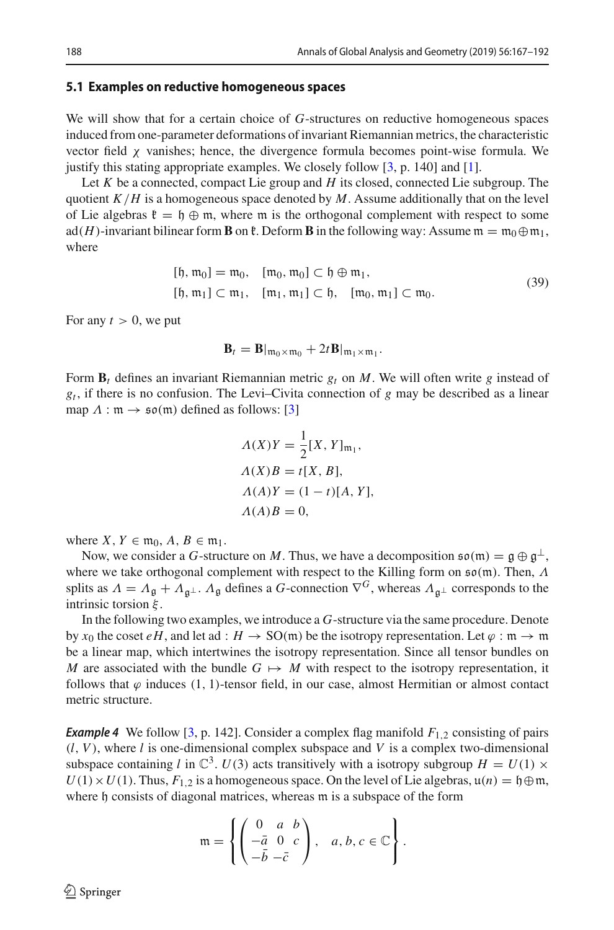#### **5.1 Examples on reductive homogeneous spaces**

We will show that for a certain choice of *G*-structures on reductive homogeneous spaces induced from one-parameter deformations of invariant Riemannian metrics, the characteristic vector field  $\chi$  vanishes; hence, the divergence formula becomes point-wise formula. We justify this stating appropriate examples. We closely follow  $[3, p. 140]$  $[3, p. 140]$  and  $[1]$ .

Let *K* be a connected, compact Lie group and *H* its closed, connected Lie subgroup. The quotient  $K/H$  is a homogeneous space denoted by  $M$ . Assume additionally that on the level of Lie algebras  $\mathfrak{k} = \mathfrak{h} \oplus \mathfrak{m}$ , where  $\mathfrak{m}$  is the orthogonal complement with respect to some ad(*H*)-invariant bilinear form **B** on  $\mathfrak{k}$ . Deform **B** in the following way: Assume  $\mathfrak{m} = \mathfrak{m}_0 \oplus \mathfrak{m}_1$ , where

<span id="page-21-0"></span>
$$
[{\mathfrak{h}}, {\mathfrak{m}}_0] = {\mathfrak{m}}_0, \quad [{\mathfrak{m}}_0, {\mathfrak{m}}_0] \subset {\mathfrak{h}} \oplus {\mathfrak{m}}_1, [{\mathfrak{h}}, {\mathfrak{m}}_1] \subset {\mathfrak{m}}_1, \quad [{\mathfrak{m}}_1, {\mathfrak{m}}_1] \subset {\mathfrak{h}}, \quad [{\mathfrak{m}}_0, {\mathfrak{m}}_1] \subset {\mathfrak{m}}_0.
$$
 (39)

For any  $t > 0$ , we put

$$
\mathbf{B}_t = \mathbf{B}\vert_{\mathfrak{m}_0 \times \mathfrak{m}_0} + 2t \mathbf{B}\vert_{\mathfrak{m}_1 \times \mathfrak{m}_1}.
$$

Form  $\mathbf{B}_t$  defines an invariant Riemannian metric  $g_t$  on M. We will often write g instead of *gt* , if there is no confusion. The Levi–Civita connection of *g* may be described as a linear map  $\Lambda : \mathfrak{m} \to \mathfrak{so}(\mathfrak{m})$  defined as follows: [\[3](#page-24-1)]

$$
\begin{aligned} \Lambda(X)Y &= \frac{1}{2}[X,Y]_{\mathfrak{m}_1}, \\ \Lambda(X)B &= t[X,B], \\ \Lambda(A)Y &= (1-t)[A,Y], \\ \Lambda(A)B &= 0, \end{aligned}
$$

where  $X, Y \in \mathfrak{m}_0, A, B \in \mathfrak{m}_1$ .

Now, we consider a *G*-structure on *M*. Thus, we have a decomposition  $\mathfrak{so}(m) = \mathfrak{g} \oplus \mathfrak{g}^{\perp}$ , where we take orthogonal complement with respect to the Killing form on  $\mathfrak{so}(\mathfrak{m})$ . Then, Λ splits as  $\Lambda = \Lambda_{\mathfrak{g}} + \Lambda_{\mathfrak{g}} \perp \Lambda_{\mathfrak{g}}$  defines a *G*-connection  $\nabla^G$ , whereas  $\Lambda_{\mathfrak{g}} \perp$  corresponds to the intrinsic torsion  $\xi$ .

In the following two examples, we introduce a *G*-structure via the same procedure. Denote by  $x_0$  the coset  $eH$ , and let ad :  $H \to SO(m)$  be the isotropy representation. Let  $\varphi : \mathfrak{m} \to \mathfrak{m}$ be a linear map, which intertwines the isotropy representation. Since all tensor bundles on *M* are associated with the bundle  $G \mapsto M$  with respect to the isotropy representation, it follows that  $\varphi$  induces (1, 1)-tensor field, in our case, almost Hermitian or almost contact metric structure.

**Example 4** We follow [\[3](#page-24-1), p. 142]. Consider a complex flag manifold  $F_{1,2}$  consisting of pairs  $(l, V)$ , where  $l$  is one-dimensional complex subspace and  $V$  is a complex two-dimensional subspace containing *l* in  $\mathbb{C}^3$ .  $U(3)$  acts transitively with a isotropy subgroup  $H = U(1) \times$  $U(1) \times U(1)$ . Thus,  $F_{1,2}$  is a homogeneous space. On the level of Lie algebras,  $u(n) = \phi(m)$ , where h consists of diagonal matrices, whereas m is a subspace of the form

$$
\mathfrak{m} = \left\{ \begin{pmatrix} 0 & a & b \\ -\bar{a} & 0 & c \\ -\bar{b} & -\bar{c} \end{pmatrix}, \quad a, b, c \in \mathbb{C} \right\}.
$$

 $\circledcirc$  Springer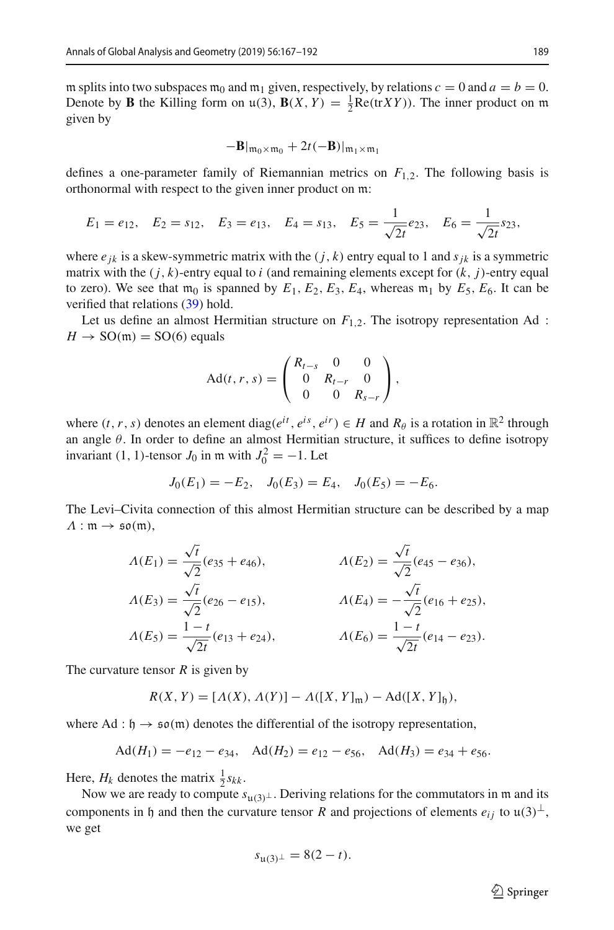m splits into two subspaces  $m_0$  and  $m_1$  given, respectively, by relations  $c = 0$  and  $a = b = 0$ . Denote by **B** the Killing form on  $\mathfrak{u}(3)$ ,  $\mathbf{B}(X, Y) = \frac{1}{2}\text{Re}(\text{tr}XY)$ ). The inner product on m given by given by

$$
-\mathbf{B}\vert_{\mathfrak{m}_0\times\mathfrak{m}_0}+2t(-\mathbf{B})\vert_{\mathfrak{m}_1\times\mathfrak{m}_1}
$$

defines a one-parameter family of Riemannian metrics on  $F_{1,2}$ . The following basis is orthonormal with respect to the given inner product on m:

$$
E_1 = e_{12}
$$
,  $E_2 = s_{12}$ ,  $E_3 = e_{13}$ ,  $E_4 = s_{13}$ ,  $E_5 = \frac{1}{\sqrt{2t}} e_{23}$ ,  $E_6 = \frac{1}{\sqrt{2t}} s_{23}$ ,

where  $e_{ik}$  is a skew-symmetric matrix with the  $(j, k)$  entry equal to 1 and  $s_{ik}$  is a symmetric matrix with the  $(j, k)$ -entry equal to *i* (and remaining elements except for  $(k, j)$ -entry equal to zero). We see that  $m_0$  is spanned by  $E_1$ ,  $E_2$ ,  $E_3$ ,  $E_4$ , whereas  $m_1$  by  $E_5$ ,  $E_6$ . It can be verified that relations [\(39\)](#page-21-0) hold.

Let us define an almost Hermitian structure on  $F_{1,2}$ . The isotropy representation Ad :  $H \rightarrow SO(m) = SO(6)$  equals

$$
Ad(t, r, s) = \begin{pmatrix} R_{t-s} & 0 & 0 \\ 0 & R_{t-r} & 0 \\ 0 & 0 & R_{s-r} \end{pmatrix},
$$

where  $(t, r, s)$  denotes an element diag( $e^{it}, e^{is}, e^{ir}$ )  $\in H$  and  $R_\theta$  is a rotation in  $\mathbb{R}^2$  through an angle  $\theta$ . In order to define an almost Hermitian structure, it suffices to define isotropy invariant (1, 1)-tensor  $J_0$  in m with  $J_0^2 = -1$ . Let

$$
J_0(E_1) = -E_2, \quad J_0(E_3) = E_4, \quad J_0(E_5) = -E_6.
$$

The Levi–Civita connection of this almost Hermitian structure can be described by a map  $\Lambda : \mathfrak{m} \to \mathfrak{so}(\mathfrak{m}),$ 

$$
\Lambda(E_1) = \frac{\sqrt{t}}{\sqrt{2}} (e_{35} + e_{46}), \qquad \Lambda(E_2) = \frac{\sqrt{t}}{\sqrt{2}} (e_{45} - e_{36}),
$$
  
\n
$$
\Lambda(E_3) = \frac{\sqrt{t}}{\sqrt{2}} (e_{26} - e_{15}), \qquad \Lambda(E_4) = -\frac{\sqrt{t}}{\sqrt{2}} (e_{16} + e_{25}),
$$
  
\n
$$
\Lambda(E_5) = \frac{1 - t}{\sqrt{2t}} (e_{13} + e_{24}), \qquad \Lambda(E_6) = \frac{1 - t}{\sqrt{2t}} (e_{14} - e_{23}).
$$

The curvature tensor *R* is given by

$$
R(X, Y) = [A(X), A(Y)] - A([X, Y]_{m}) - Ad([X, Y]_{\mathfrak{h}}),
$$

where Ad :  $\mathfrak{h} \to \mathfrak{so}(\mathfrak{m})$  denotes the differential of the isotropy representation,

$$
Ad(H_1) = -e_{12} - e_{34}, \quad Ad(H_2) = e_{12} - e_{56}, \quad Ad(H_3) = e_{34} + e_{56}.
$$

Here,  $H_k$  denotes the matrix  $\frac{1}{2} s_{kk}$ .

Now we are ready to compute  $s_{u(3)}\perp$ . Deriving relations for the commutators in m and its<br>mononts in h and than the currenting tensor *P* and projections of alamants  $\epsilon_1$  to  $u(2)\perp$ components in h and then the curvature tensor *R* and projections of elements  $e_{ij}$  to  $\mu(3)^{\perp}$ , we get

$$
s_{\mathfrak{u}(3)^{\perp}} = 8(2-t).
$$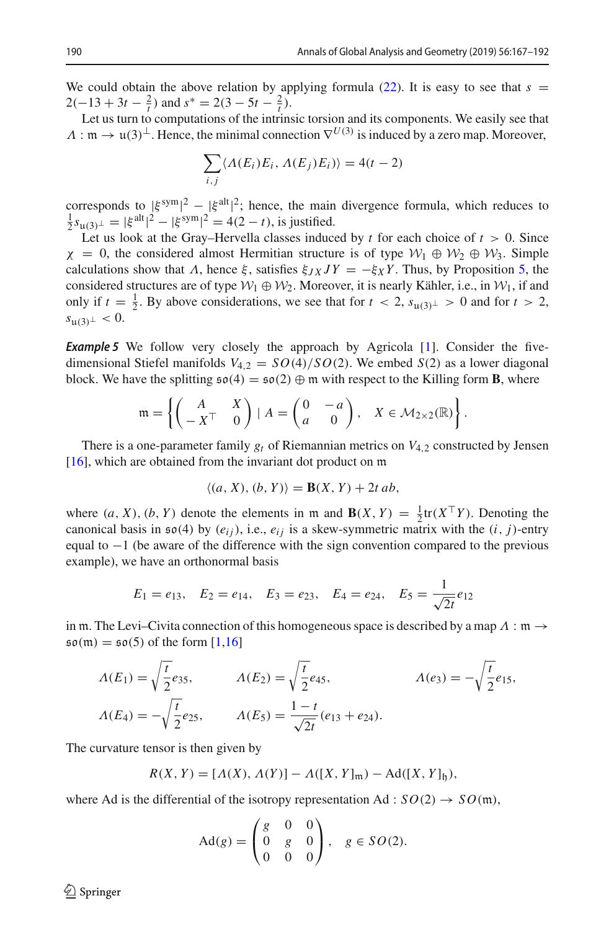We could obtain the above relation by applying formula  $(22)$ . It is easy to see that  $s =$  $2(-13 + 3t - \frac{2}{t})$  and  $s^* = 2(3 - 5t - \frac{2}{t})$ .

Let us turn to computations of the intrinsic torsion and its components. We easily see that  $\Lambda : \mathfrak{m} \to \mathfrak{u}(3)^{\perp}$ . Hence, the minimal connection  $\nabla^{U(3)}$  is induced by a zero map. Moreover,

$$
\sum_{i,j} \langle \Lambda(E_i) E_i, \Lambda(E_j) E_i) \rangle = 4(t-2)
$$

corresponds to  $|\xi^{\text{sym}}|^2 - |\xi^{\text{alt}}|^2$ ; hence, the main divergence formula, which reduces to  $\frac{1}{2} s_{\text{u}(3)^{\perp}} = |\xi^{\text{alt}}|^2 - |\xi^{\text{sym}}|^2 = 4(2-t)$ , is justified.<br>Let us look at the Gray–Hervella classes induct

Let us look at the Gray–Hervella classes induced by  $t$  for each choice of  $t > 0$ . Since  $\chi = 0$ , the considered almost Hermitian structure is of type  $W_1 \oplus W_2 \oplus W_3$ . Simple calculations show that  $\Lambda$ , hence  $\xi$ , satisfies  $\xi_{JX}JY = -\xi_{X}Y$ . Thus, by Proposition [5,](#page-8-1) the considered structures are of type  $W_1 \oplus W_2$ . Moreover, it is nearly Kähler, i.e., in  $W_1$ , if and only if *t* =  $\frac{1}{2}$ . By above considerations, we see that for *t* < 2, *s*<sub>u(3)</sub>⊥ > 0 and for *t* > 2, *s*<sub>u(3)</sub> ≤ 0  $s_{\mathfrak{u}(3)^\perp}$  < 0.

**Example 5** We follow very closely the approach by Agricola [\[1\]](#page-24-2). Consider the fivedimensional Stiefel manifolds  $V_{4,2} = SO(4)/SO(2)$ . We embed  $S(2)$  as a lower diagonal block. We have the splitting  $\mathfrak{so}(4) = \mathfrak{so}(2) \oplus \mathfrak{m}$  with respect to the Killing form **B**, where

$$
\mathfrak{m} = \left\{ \begin{pmatrix} A & X \\ -X^\top & 0 \end{pmatrix} \mid A = \begin{pmatrix} 0 & -a \\ a & 0 \end{pmatrix}, X \in \mathcal{M}_{2 \times 2}(\mathbb{R}) \right\}.
$$

There is a one-parameter family  $g_t$  of Riemannian metrics on  $V_{4,2}$  constructed by Jensen [ $16$ ], which are obtained from the invariant dot product on  $m$ 

$$
\langle (a, X), (b, Y) \rangle = \mathbf{B}(X, Y) + 2t ab,
$$

where  $(a, X)$ ,  $(b, Y)$  denote the elements in m and  $\mathbf{B}(X, Y) = \frac{1}{2} \text{tr}(X^{\top}Y)$ . Denoting the canonical basis in  $\mathfrak{so}(4)$  by  $(e_i)$ , i.e.  $e_i$ ; is a skew-symmetric matrix with the  $(i, i)$ -entry canonical basis in  $\mathfrak{so}(4)$  by  $(e_{ij})$ , i.e.,  $e_{ij}$  is a skew-symmetric matrix with the  $(i, j)$ -entry equal to  $-1$  (be aware of the difference with the sign convention compared to the previous example), we have an orthonormal basis

$$
E_1 = e_{13}
$$
,  $E_2 = e_{14}$ ,  $E_3 = e_{23}$ ,  $E_4 = e_{24}$ ,  $E_5 = \frac{1}{\sqrt{2t}}e_{12}$ 

in m. The Levi–Civita connection of this homogeneous space is described by a map  $\Lambda : \mathfrak{m} \to$  $\mathfrak{so}(m) = \mathfrak{so}(5)$  of the form  $[1,16]$  $[1,16]$ 

$$
\Lambda(E_1) = \sqrt{\frac{t}{2}} e_{35}, \qquad \Lambda(E_2) = \sqrt{\frac{t}{2}} e_{45}, \qquad \Lambda(e_3) = -\sqrt{\frac{t}{2}} e_{15},
$$
  

$$
\Lambda(E_4) = -\sqrt{\frac{t}{2}} e_{25}, \qquad \Lambda(E_5) = \frac{1-t}{\sqrt{2t}} (e_{13} + e_{24}).
$$

The curvature tensor is then given by

$$
R(X, Y) = [A(X), A(Y)] - A([X, Y]_{m}) - Ad([X, Y]_{\mathfrak{h}}),
$$

where Ad is the differential of the isotropy representation Ad :  $SO(2) \rightarrow SO(m)$ ,

$$
Ad(g) = \begin{pmatrix} g & 0 & 0 \\ 0 & g & 0 \\ 0 & 0 & 0 \end{pmatrix}, \quad g \in SO(2).
$$

 $\mathcal{L}$  Springer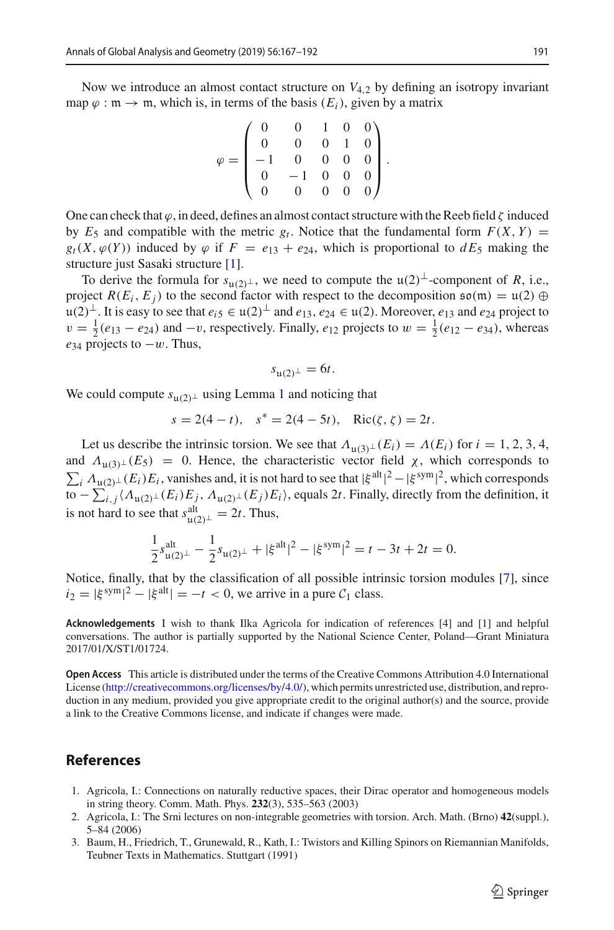Now we introduce an almost contact structure on  $V_{4,2}$  by defining an isotropy invariant map  $\varphi : \mathfrak{m} \to \mathfrak{m}$ , which is, in terms of the basis  $(E_i)$ , given by a matrix

$$
\varphi = \begin{pmatrix} 0 & 0 & 1 & 0 & 0 \\ 0 & 0 & 0 & 1 & 0 \\ -1 & 0 & 0 & 0 & 0 \\ 0 & -1 & 0 & 0 & 0 \\ 0 & 0 & 0 & 0 & 0 \end{pmatrix}.
$$

One can check that  $\varphi$ , in deed, defines an almost contact structure with the Reeb field  $\zeta$  induced by  $E_5$  and compatible with the metric  $g_t$ . Notice that the fundamental form  $F(X, Y) =$  $g_t(X, \varphi(Y))$  induced by  $\varphi$  if  $F = e_{13} + e_{24}$ , which is proportional to  $dE_5$  making the structure just Sasaki structure [\[1](#page-24-2)].

To derive the formula for  $s_{\mu(2)}$ <sub>⊥</sub>, we need to compute the  $\mu(2)$ <sup>⊥</sup>-component of *R*, i.e., i.e., i.e., project  $R(E_i, E_j)$  to the second factor with respect to the decomposition  $\mathfrak{so}(\mathfrak{m}) = \mathfrak{u}(2) \oplus \mathfrak{m}$ <sup>u</sup>(2)⊥. It is easy to see that *ei*<sup>5</sup> <sup>∈</sup> <sup>u</sup>(2)<sup>⊥</sup> and *<sup>e</sup>*13, *<sup>e</sup>*<sup>24</sup> <sup>∈</sup> <sup>u</sup>(2). Moreover, *<sup>e</sup>*<sup>13</sup> and *<sup>e</sup>*<sup>24</sup> project to  $v = \frac{1}{2}(e_{13} - e_{24})$  and  $-v$ , respectively. Finally,  $e_{12}$  projects to  $w = \frac{1}{2}(e_{12} - e_{34})$ , whereas  $e_{34}$  projects to  $-w$ . Thus,

$$
s_{\mathfrak{u}(2)^{\perp}}=6t.
$$

We could compute  $s_{u(2)}\text{L}$  using Lemma [1](#page-15-0) and noticing that

$$
s = 2(4 - t), \quad s^* = 2(4 - 5t), \quad \text{Ric}(\zeta, \zeta) = 2t.
$$

Let us describe the intrinsic torsion. We see that  $\Lambda_{\mu(3)\perp}(E_i) = \Lambda(E_i)$  for  $i = 1, 2, 3, 4$ ,<br> $\Lambda_{\mu(3)\perp}(E_5) = 0$ . Hence, the characteristic vector field x, which corresponds to and  $\Lambda_{\mathfrak{u}(3)\perp}(E_5) = 0$ . Hence, the characteristic vector field  $\chi$ , which corresponds to  $\Sigma_{\mathfrak{u}}(E_1)E_2$  versiones and it is not hard to see that  $|\xi|^{2}$  is symple which corresponds  $\sum_i \Lambda_{\mu(2)}(E_i) E_i$ , vanishes and, it is not hard to see that  $|\xi^{\text{alt}}|^2 - |\xi^{\text{sym}}|^2$ , which corresponds to  $-\sum_i (A_i \cos(kE_i) E_i)$  equals 2t. Finally directly from the definition if to  $-\sum_{i,j}\langle\Lambda_{\mathfrak{u}(2)}\bot(E_i)E_j,\Lambda_{\mathfrak{u}(2)}\bot(E_j)E_i\rangle$ , equals 2*t*. Finally, directly from the definition, it is not hard to see that  $s_{\mathfrak{u}(2)^\perp}^{\text{alt}} = 2t$ . Thus,

$$
\frac{1}{2}s_{\mathfrak{u}(2)^{\perp}}^{\text{alt}} - \frac{1}{2}s_{\mathfrak{u}(2)^{\perp}} + |\xi^{\text{alt}}|^{2} - |\xi^{\text{sym}}|^{2} = t - 3t + 2t = 0.
$$

Notice, finally, that by the classification of all possible intrinsic torsion modules [\[7](#page-25-1)], since  $i_2 = |\xi^{\text{sym}}|^2 - |\xi^{\text{alt}}| = -t < 0$ , we arrive in a pure  $C_1$  class.

**Acknowledgements** I wish to thank Ilka Agricola for indication of references [4] and [1] and helpful conversations. The author is partially supported by the National Science Center, Poland—Grant Miniatura 2017/01/X/ST1/01724.

**Open Access** This article is distributed under the terms of the Creative Commons Attribution 4.0 International License [\(http://creativecommons.org/licenses/by/4.0/\)](http://creativecommons.org/licenses/by/4.0/), which permits unrestricted use, distribution, and reproduction in any medium, provided you give appropriate credit to the original author(s) and the source, provide a link to the Creative Commons license, and indicate if changes were made.

#### **References**

- <span id="page-24-2"></span>1. Agricola, I.: Connections on naturally reductive spaces, their Dirac operator and homogeneous models in string theory. Comm. Math. Phys. **232**(3), 535–563 (2003)
- <span id="page-24-0"></span>2. Agricola, I.: The Srni lectures on non-integrable geometries with torsion. Arch. Math. (Brno) **42**(suppl.), 5–84 (2006)
- <span id="page-24-1"></span>3. Baum, H., Friedrich, T., Grunewald, R., Kath, I.: Twistors and Killing Spinors on Riemannian Manifolds, Teubner Texts in Mathematics. Stuttgart (1991)